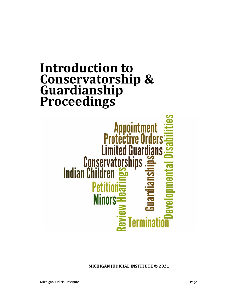## **Introduction to Conservatorship & Guardianship Proceedings**

# Appointment<br>Protective Order **Limited Guardians** Peti **Minors:**

**MICHIGAN JUDICIAL INSTITUTE © 2021**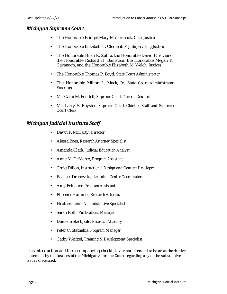#### *Michigan Supreme Court*

- The Honorable Bridget Mary McCormack, *Chief Justice*
- The Honorable Elizabeth T. Clement, *MJI Supervising Justice*
- The Honorable Brian K. Zahra, the Honorable David F. Viviano, the Honorable Richard H. Bernstein, the Honorable Megan K. Cavanagh, and the Honorable Elizabeth M. Welch, *Justices*
- The Honorable Thomas P. Boyd, *State Court Administrator*
- The Honorable Milton L. Mack, Jr., *State Court Administrator Emeritus*
- Ms. Cami M. Pendell, *Supreme Court General Counsel*
- Mr. Larry S. Royster, *Supreme Court Chief of Staff and Supreme Court Clerk*

#### *Michigan Judicial Institute Staff*

- Dawn F. McCarty, *Director*
- Alessa Boes, *Research Attorney Specialist*
- Amanda Clark, *Judicial Education Analyst*
- Anne M. DeMarco, *Program Assistant*
- Craig Dillon, *Instructional Design and Content Developer*
- Rachael Drenovsky, *Learning Center Coordinator*
- Amy Feinauer, *Program Assistant*
- Phoenix Hummel, *Research Attorney*
- Heather Leidi, *Administrative Specialist*
- Sarah Roth*, Publications Manager*
- Danielle Stackpole, *Research Attorney*
- Peter C. Stathakis, *Program Manager*
- Cathy Weitzel, *Training & Development Specialist*

This introduction and the accompanying checklists are not intended to be an authoritative statement by the Justices of the Michigan Supreme Court regarding any of the substantive issues discussed.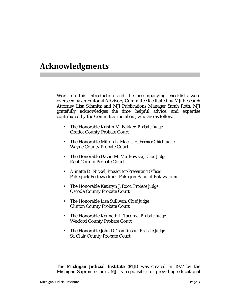### **Acknowledgments**

Work on this introduction and the accompanying checklists were overseen by an Editorial Advisory Committee facilitated by MJI Research Attorney Lisa Schmitz and MJI Publications Manager Sarah Roth. MJI gratefully acknowledges the time, helpful advice, and expertise contributed by the Committee members, who are as follows:

- The Honorable Kristin M. Bakker, *Probate Judge* Gratiot County Probate Court
- The Honorable Milton L. Mack. Jr., *Former Chief Judge* Wayne County Probate Court
- The Honorable David M. Murkowski, *Chief Judge* Kent County Probate Court
- Annette D. Nickel, *Prosecutor/Presenting Officer* Pokegnek Bodewadmik, Pokagon Band of Potawatomi
- The Honorable Kathryn J. Root, *Probate Judge* Oscoda County Probate Court
- The Honorable Lisa Sullivan, *Chief Judge* Clinton County Probate Court
- The Honorable Kenneth L. Tacoma, *Probate Judge* Wexford County Probate Court
- The Honorable John D. Tomlinson, *Probate Judge* St. Clair County Probate Court

The **Michigan Judicial Institute (MJI)** was created in 1977 by the Michigan Supreme Court. MJI is responsible for providing educational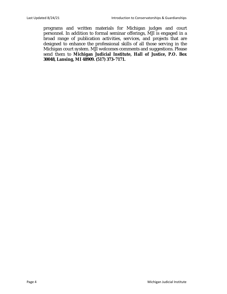programs and written materials for Michigan judges and court personnel. In addition to formal seminar offerings, MJI is engaged in a broad range of publication activities, services, and projects that are designed to enhance the professional skills of all those serving in the Michigan court system. MJI welcomes comments and suggestions. Please send them to **Michigan Judicial Institute, Hall of Justice, P.O. Box 30048, Lansing, MI 48909. (517) 373–7171.**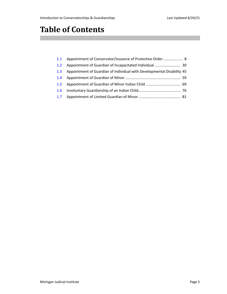## **Table of Contents**

| 1.1 Appointment of Conservator/Issuance of Protective Order 8              |  |
|----------------------------------------------------------------------------|--|
|                                                                            |  |
| 1.3 Appointment of Guardian of Individual with Developmental Disability 45 |  |
|                                                                            |  |
|                                                                            |  |
|                                                                            |  |
|                                                                            |  |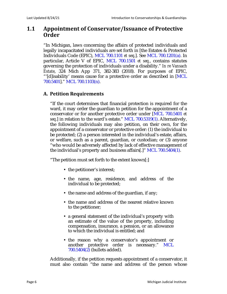#### <span id="page-5-0"></span>**1.1 Appointment of Conservator/Issuance of Protective Order**

"In Michigan, laws concerning the affairs of protected individuals and legally incapacitated individuals are set forth in [the Estates & Protected Individuals Code (EPIC), MCL 700.1101 *et seq*.]. See MCL 700.1201(a). In particular, Article V of EPIC, MCL 700.1501 *et seq.*, contains statutes governing the protection of individuals under a disability." *In re Vansach Estate*, 324 Mich App 371, 382-383 (2018). For purposes of EPIC, "'[d]isability' means cause for a protective order as described in [MCL 700.5401]." MCL 700.1103(n).

#### **A. Petition Requirements**

"If the court determines that financial protection is required for the ward, it may order the guardian to petition for the appointment of a conservator or for another protective order under [MCL 700.5401 *et seq*.] in relation to the ward's estate." MCL 700.5319(1). Alternatively, the following individuals may also petition, on their own, for the appointment of a conservator or protective order: (1) the individual to be protected; (2) a person interested in the individual's estate, affairs, or welfare, such as a parent, guardian, or custodian; or (3) anyone "who would be adversely affected by lack of effective management of the individual's property and business affairs[.]" MCL 700.5404(1).

"The petition must set forth to the extent known[:]

- the petitioner's interest;
- the name, age, residence, and address of the individual to be protected;
- the name and address of the guardian, if any;
- the name and address of the nearest relative known to the petitioner;
- a general statement of the individual's property with an estimate of the value of the property, including compensation, insurance, a pension, or an allowance to which the individual is entitled; and
- the reason why a conservator's appointment or another protective order is necessary." MCL  $700.5404(2)$  (bullets added).

Additionally, if the petition requests appointment of a conservator, it must also contain "the name and address of the person whose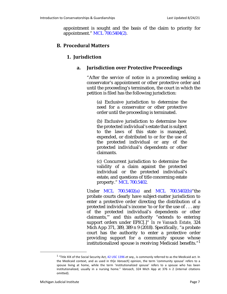appointment is sought and the basis of the claim to priority for appointment." MCL 700.5404(2).

#### **B. Procedural Matters**

#### **1. Jurisdiction**

#### **a. Jurisdiction over Protective Proceedings**

"After the service of notice in a proceeding seeking a conservator's appointment or other protective order and until the proceeding's termination, the court in which the petition is filed has the following jurisdiction:

(a) Exclusive jurisdiction to determine the need for a conservator or other protective order until the proceeding is terminated.

(b) Exclusive jurisdiction to determine how the protected individual's estate that is subject to the laws of this state is managed, expended, or distributed to or for the use of the protected individual or any of the protected individual's dependents or other claimants.

(c) Concurrent jurisdiction to determine the validity of a claim against the protected individual or the protected individual's estate, and questions of title concerning estate property." MCL 700.5402.

Under MCL 700.5402(a) and MCL 700.5402(b)"the probate courts clearly have subject-matter jurisdiction to enter a protective order directing the distribution of a protected individual's income 'to or for the use of . . . any of the protected individual's dependents or other claimants,'" and this authority "extends to entering support orders under EPIC[.]" *In re Vansach Estate*, 324 Mich App 371, 389, 389 n 9 (2018). Specifically, "a probate court has the authority to enter a protective order providing support for a community spouse whose institutionalized spouse is receiving Medicaid benefits."<sup>1</sup>

<sup>1 &</sup>quot;Title XIX of the Social Security Act, 42 USC 1396 *et seq*., is commonly referred to as the Medicaid act. In the Medicaid context, and as used in th[e *Vansach*] opinion, the term 'community spouse' refers to a spouse living at home, while the term 'institutionalized spouse' refers to a spouse who has been institutionalized, usually in a nursing home." *Vansach*, 324 Mich App at 376 n 2 (internal citations omitted).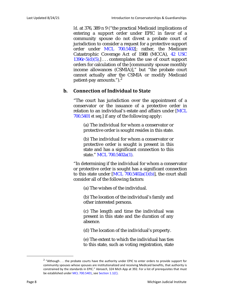*Id*. at 376, 389 n 9 ("the practical Medicaid implications of entering a support order under EPIC in favor of a community spouse do not divest a probate court of jurisdiction to consider a request for a protective support order under MCL 700.5402[; rather, the Medicare Catastrophic Coverage Act of 1988 (MCCA), 42 USC  $1396r-5(d)(5)$ , ... contemplates the use of court support orders for calculation of the [community spouse monthly income allowances (CSMIA)]," but "the probate court cannot actually alter the CSMIA or modify Medicaid patient-pay amounts."). $2^2$ 

#### **b. Connection of Individual to State**

"The court has jurisdiction over the appointment of a conservator or the issuance of a protective order in relation to an individual's estate and affairs under [MCL 700.5401 *et seq*.] if any of the following apply:

(a) The individual for whom a conservator or protective order is sought resides in this state.

(b) The individual for whom a conservator or protective order is sought is present in this state and has a significant connection to this state." MCL 700.5402a(1).

"In determining if the individual for whom a conservator or protective order is sought has a significant connection to this state under  $[ML 700.5402a(1)(b)]$ , the court shall consider all of the following factors:

(a) The wishes of the individual.

(b) The location of the individual's family and other interested persons.

(c) The length and time the individual was present in this state and the duration of any absence.

(d) The location of the individual's property.

(e) The extent to which the individual has ties to this state, such as voting registration, state

 $2$  "Although . . . the probate courts have the authority under EPIC to enter orders to provide support for community spouses whose spouses are institutionalized and receiving Medicaid benefits, that authority is constrained by the standards in EPIC." *Vansach*, 324 Mich App at 392. For a list of prerequisites that must be established under MCL 700.5401, see [Section 1.1\(C\)](#page-11-0).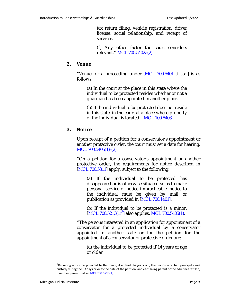tax return filing, vehicle registration, driver license, social relationship, and receipt of services.

(f) Any other factor the court considers relevant." MCL 700.5402a(2).

#### **2. Venue**

"Venue for a proceeding under [MCL 700.5401 *et seq*.] is as follows:

(a) In the court at the place in this state where the individual to be protected resides whether or not a guardian has been appointed in another place.

(b) If the individual to be protected does not reside in this state, in the court at a place where property of the individual is located." MCL 700.5403.

#### **3. Notice**

Upon receipt of a petition for a conservator's appointment or another protective order, the court must set a date for hearing. MCL 700.5406(1)-(2).

"On a petition for a conservator's appointment or another protective order, the requirements for notice described in [MCL 700.5311] apply, subject to the following:

(a) If the individual to be protected has disappeared or is otherwise situated so as to make personal service of notice impracticable, notice to the individual must be given by mail or publication as provided in [MCL 700.1401].

(b) If the individual to be protected is a minor, [MCL 700.5213(1)<sup>3</sup>] also applies. MCL 700.5405(1).

"The persons interested in an application for appointment of a conservator for a protected individual by a conservator appointed in another state or for the petition for the appointment of a conservator or protective order are:

(a) the individual to be protected if 14 years of age or older,

 $3$ Requiring notice be provided to the minor, if at least 14 years old, the person who had principal care/ custody during the 63 days prior to the date of the petition, and each living parent or the adult nearest kin, if neither parent is alive. MCL 700.5213(1).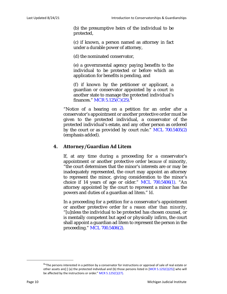(b) the presumptive heirs of the individual to be protected,

(c) if known, a person named as attorney in fact under a durable power of attorney,

(d) the nominated conservator,

(e) a governmental agency paying benefits to the individual to be protected or before which an application for benefits is pending, and

(f) if known by the petitioner or applicant, a guardian or conservator appointed by a court in another state to manage the protected individual's finances." MCR 5.125(C)(25). $^{\text{3}}$ 

"Notice of a hearing on a petition for an order *after* a conservator's appointment or another protective order must be given to the protected individual, a conservator of the protected individual's estate, and any other person as ordered by the court or as provided by court rule." MCL 700.5405(2) (emphasis added).

#### **4. Attorney/Guardian Ad Litem**

If, at any time during a proceeding for a conservator's appointment or another protective order *because of* minority, "the court determines that the minor's interests are or may be inadequately represented, the court may appoint an attorney to represent the minor, giving consideration to the minor's choice if 14 years of age or older." MCL 700.5406(1). "An attorney appointed by the court to represent a minor has the powers and duties of a guardian ad litem." *Id*.

In a proceeding for a petition for a conservator's appointment or another protective order *for a reason other than minority*, "[u]nless the individual to be protected has chosen counsel, or is mentally competent but aged or physically infirm, the court shall appoint a guardian ad litem to represent the person in the proceeding." MCL 700.5406(2).

<sup>&</sup>lt;sup>4</sup>"The persons interested in a petition by a conservator for instructions or approval of sale of real estate or other assets are[:] (a) the protected individual and (b) those persons listed in [MCR 5.125(C)(25)] who will be affected by the instructions or order." MCR 5.125(C)(27).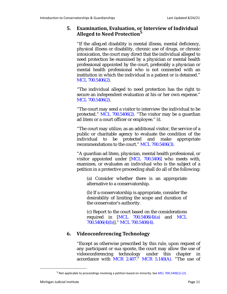#### **5. Examination, Evaluation, or Interview of Individual Alleged to Need Protection5**

"If the alleg.ed disability is mental illness, mental deficiency, physical illness or disability, chronic use of drugs, or chronic intoxication, the court may direct that the individual alleged to need protection be examined by a physician or mental health professional appointed by the court, preferably a physician or mental health professional who is not connected with an institution in which the individual is a patient or is detained." MCL 700.5406(2).

"The individual alleged to need protection has the right to secure an independent evaluation at his or her own expense." MCL 700.5406(2).

"The court may send a visitor to interview the individual to be protected." MCL 700.5406(2). "The visitor may be a guardian ad litem or a court officer or employee." *Id*.

"The court may utilize, as an additional visitor, the service of a public or charitable agency to evaluate the condition of the individual to be protected and make appropriate recommendations to the court." MCL 700.5406(3).

"A guardian ad litem, physician, mental health professional, or visitor appointed under [MCL 700.5406] who meets with, examines, or evaluates an individual who is the subject of a petition in a protective proceeding shall do all of the following:

(a) Consider whether there is an appropriate alternative to a conservatorship.

(b) If a conservatorship is appropriate, consider the desirability of limiting the scope and duration of the conservator's authority.

(c) Report to the court based on the considerations required in  $[MCL 700.5406(4)(a)$  and MCL 700.5406(4)(b)]." MCL 700.5406(4).

#### **6. Videoconferencing Technology**

"Except as otherwise prescribed by this rule, upon request of any participant or sua sponte, the court may allow the use of videoconferencing technology under this chapter in accordance with MCR 2.407." MCR  $5.140(A)$ . "The use of

<sup>&</sup>lt;sup>5</sup> Not applicable to proceedings involving a petition based on minority. See MCL 700.5406(1)-(2).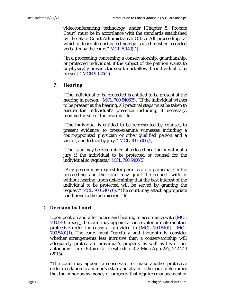videoconferencing technology under [Chapter 5, Probate Court] must be in accordance with the standards established by the State Court Administrative Office. All proceedings at which videoconferencing technology is used must be recorded verbatim by the court." MCR 5.140(D).

"In a proceeding concerning a conservatorship, guardianship, or protected individual, if the subject of the petition wants to be physically present, the court must allow the individual to be present." MCR 5.140(C).

#### **7. Hearing**

"The individual to be protected is entitled to be present at the hearing in person." MCL 700.5406(5). "If the individual wishes to be present at the hearing, all practical steps must be taken to ensure the individual's presence including, if necessary, moving the site of the hearing." *Id*.

"The individual is entitled to be represented by counsel, to present evidence, to cross-examine witnesses including a court-appointed physician or other qualified person and a visitor, and to trial by jury." MCL 700.5406(5).

"The issue may be determined at a closed hearing or without a jury if the individual to be protected or counsel for the individual so requests." MCL 700.5406(5).

"Any person may request for permission to participate in the proceeding, and the court may grant the request, with or without hearing, upon determining that the best interest of the individual to be protected will be served by granting the request." MCL 700.5406(6). "The court may attach appropriate conditions to the permission." *Id*.

#### <span id="page-11-0"></span>**C. Decision by Court**

Upon petition and after notice and hearing in accordance with [MCL 700.5401 *et seq*.], the court may appoint a conservator or make another protective order for cause as provided in [MCL 700.5401]." MCL 700.5401(1). The court must "carefully and thoughtfully consider whether arrangements less intrusive than a conservatorship will adequately protect an individual's property as well as his or her autonomy." *In re Bittner Conservatorship*, 312 Mich App 227, 242-243 (2015).

"The court may appoint a conservator or make another protective order in relation to a minor's estate and affairs if the court determines that the minor owns money or property that requires management or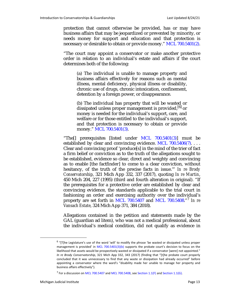protection that cannot otherwise be provided, has or may have business affairs that may be jeopardized or prevented by minority, or needs money for support and education and that protection is necessary or desirable to obtain or provide money." MCL 700.5401(2).

"The court may appoint a conservator or make another protective order in relation to an individual's estate and affairs if the court determines both of the following:

(a) The individual is unable to manage property and business affairs effectively for reasons such as mental illness, mental deficiency, physical illness or disability, chronic use of drugs, chronic intoxication, confinement, detention by a foreign power, or disappearance.

(b) The individual has property that will be wasted or dissipated unless proper management is provided,  $^{[6]}$  or money is needed for the individual's support, care, and welfare or for those entitled to the individual's support, and that protection is necessary to obtain or provide money." MCL 700.5401(3).

"The[] prerequisites [listed under MCL 700.5401(3)] must be established by clear and convincing evidence. MCL 700.5406(7)... Clear and convincing proof 'produce[s] in the mind of the trier of fact a firm belief or conviction as to the truth of the allegations sought to be established, evidence so clear, direct and weighty and convincing as to enable [the factfinder] to come to a clear conviction, without hesitancy, of the truth of the precise facts in issue.'" *In re Brody Conservatorship*, 321 Mich App 332, 337 (2017), quoting *In re Martin*, 450 Mich 204, 227 (1995) (third and fourth alteration in original). "If the prerequisites for a protective order are established by clear and convincing evidence, the standards applicable to the trial court in fashioning an order and exercising authority over the individual's property are set forth in MCL 700.5407 and MCL 700.5408."7 *In re Vansach Estate*, 324 Mich App 371, 384 (2018).

Allegations contained in the petition and statements made by the GAL (guardian ad litem), who was not a medical professional, about the individual's medical condition, did not qualify as evidence in

 $6$  "[T]he Legislature's use of the word 'will' to modify the phrase 'be wasted or dissipated unless proper management is provided' in MCL 700.5401(3)(b) supports the probate court's decision to focus on the likelihood that assets would be prospectively wasted or dissipated if a conservator [were] not appointed." *In re Brody Conservatorship*, 321 Mich App 332, 343 (2017) (finding that "[t]he probate court properly concluded that it was unnecessary to find that any waste or dissipation had already occurred" before appointing a conservator where the ward's "disability made her unable to manage her property and business affairs effectively").

<sup>&</sup>lt;sup>7</sup> For a discussion on MCL 700.5407 and MCL 700.5408, see [Section 1.1\(F\)](#page-24-0) and [Section 1.1\(G\)](#page-27-0).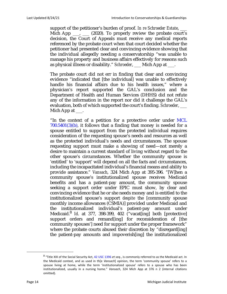support of the petitioner's burden of proof. *In re Schroeder Estate*, \_\_\_ Mich App  $\ldots$ ,  $\ldots$  (2020). To properly review the probate court's decision, the Court of Appeals must receive any medical reports referenced by the probate court when that court decided whether the petitioner had presented clear and convincing evidence showing that the individual allegedly needing a conservatorship "was unable to manage his property and business affairs effectively for reasons such as physical illness or disability." *Schroeder*, \_\_\_ Mich App at \_\_\_.

The probate court did not err in finding that clear and convincing evidence "indicated that [the individual] was unable to effectively handle his financial affairs due to his health issues," where a physician's report supported the GAL's conclusion and the Department of Health and Human Services (DHHS) did not refute any of the information in the report nor did it challenge the GAL's evaluation, both of which supported the court's finding. *Schroeder*, \_\_\_ Mich App at  $\_\_\$ .

"In the context of a petition for a protective order under MCL  $700.5401(3)(b)$ , it follows that a finding that money is needed for a spouse entitled to support from the protected individual requires consideration of the requesting spouse's needs and resources as well as the protected individual's needs and circumstances. The spouse requesting support must make a showing of need—not merely a desire to maintain a current standard of living without regard to the other spouse's circumstances. Whether the community spouse is 'entitled' to 'support' will depend on all the facts and circumstances, including the incapacitated individual's financial means and ability to provide assistance." *Vansach*, 324 Mich App at 395-396. "[W]hen a community spouse's institutionalized spouse receives Medicaid benefits and has a patient-pay amount, the community spouse seeking a support order under EPIC must show, by clear and convincing evidence that he or she needs money and is entitled to the institutionalized spouse's support *despite* the [community spouse monthly income allowances (CSMIA)] provided under Medicaid and the institutionalized individual's patient-pay amount under Medicaid.<sup>8</sup> *Id.* at 377, 398-399, 402 ("vacat[ing] both [protective] support orders and remand [ing] for reconsideration of [the community spouses'] need for support under the proper framework" where the probate courts abused their discretion by "disregard[ing] the patient-pay amounts and impoverish[ing] the institutionalized

<sup>8 &</sup>quot;Title XIX of the Social Security Act, 42 USC 1396 *et seq*., is commonly referred to as the Medicaid act. In the Medicaid context, and as used in th[e *Vansach*] opinion, the term 'community spouse' refers to a spouse living at home, while the term 'institutionalized spouse' refers to a spouse who has been institutionalized, usually in a nursing home." *Vansach*, 324 Mich App at 376 n 2 (internal citations omitted).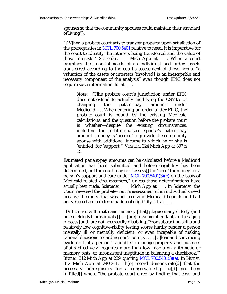spouses so that the community spouses could maintain their standard of living").

"[W]hen a probate court acts to transfer property upon satisfaction of the prerequisites in MCL 700.5401 relative to need, it is imperative for the court to identify the interests being transferred and the value of those interests." *Schroeder*, \_\_\_ Mich App at \_\_\_. When a court examines the financial needs of an individual and orders assets transferred according to the court's assessment of those needs, "a valuation of the assets or interests [involved] is an inescapable and necessary component of the analysis" even though EPIC does not require such information. *Id*. at \_\_\_.

**Note:** "[T]he probate court's jurisdiction under EPIC does not extend to actually modifying the CSMIA or changing the patient-pay amount under Medicaid. . . . When entering an order under EPIC, the probate court is bound by the existing Medicaid calculations, and the question before the probate court is whether—despite the existing circumstances, including the institutionalized spouse's patient-pay amount—money is 'needed' to provide the community spouse with additional income to which he or she is 'entitled' for 'support.'" *Vansach*, 324 Mich App at 397 n 15.

Estimated patient-pay amounts can be calculated before a Medicaid application has been submitted and before eligibility has been determined, but the court may not "assess[] the 'need' for money for a person's support and care under MCL 700.5401(3)(b) on the basis of Medicaid-related circumstances," unless those determinations have *actually been made*. *Schroeder*, \_\_\_ Mich App at \_\_\_. In *Schroeder*, the Court reversed the probate court's assessment of an individual's need because the individual was not receiving Medicaid benefits and had not yet received a determination of eligibility. *Id*. at \_\_\_.

"Difficulties with math and memory [that] plague many elderly (and not so elderly) individuals []. . . [are] irksome attendants to the aging process [and] are not necessarily disabling. Poor subtraction skills and relatively low cognitive-ability testing scores hardly render a person mentally ill or mentally deficient, or even incapable of making rational decisions regarding one's bounty. . . . [C]lear and convincing evidence that a person 'is unable to manage property and business affairs effectively' requires more than low marks on arithmetic or memory tests, or inconsistent ineptitude in balancing a checkbook.'" *Bittner*, 312 Mich App at 239, quoting MCL 700.5401(3)(a). In *Bittner*, 312 Mich App at 240-241, "th[e] record demonstrate[d] that the necessary prerequisites for a conservatorship ha[d] not been fulfilled<sup>[]</sup> where "the probate court erred by finding that clear and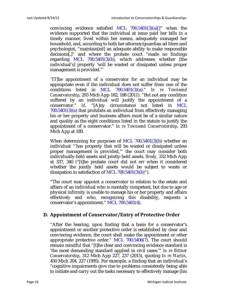convincing evidence satisfied MCL  $700.5401(3)(a)$ ]" when the evidence supported that the individual at issue paid her bills in a timely manner, lived within her means, adequately managed her household, and, according to both her attorney/guardian ad litem and psychologist, "maintain[ed] an adequate ability to make responsible decisions[,]" and where the probate court "made no findings regarding MCL  $700.5401(3)(b)$ , which addresses whether [the individual's] property 'will be wasted or dissipated unless proper management is provided.'"

"[T]he appointment of a conservator for an individual may be appropriate even if the individual does not suffer from one of the conditions listed in MCL 700.5401(3)(a)." *In re Townsend Conservatorship*, 293 Mich App 182, 188 (2011). "But not any condition suffered by an individual will justify the appointment of a conservator." *Id*. "[A]ny circumstance not listed in MCL  $700.5401(3)(a)$  that prohibits an individual from effectively managing his or her property and business affairs must be of a similar nature and quality as the eight conditions listed in the statute to justify the appointment of a conservator." *In re Townsend Conservatorship*, 293 Mich App at 189.

When determining for purposes of MCL 700.5401(3)(b) whether an individual "'has property that will be wasted or dissipated unless proper management is provided,'" the court may consider both individually-held assets and jointly-held assets. *Brody*, 332 Mich App at 337, 340 ("[t]he probate court did not err when it considered whether the jointly held assets would be subject to waste or dissipation in satisfaction of MCL  $700.5401(3)(b)$ ").

"The court may appoint a conservator in relation to the estate and affairs of an individual who is mentally competent, but due to age or physical infirmity is unable to manage his or her property and affairs effectively and who, recognizing this disability, requests a conservator's appointment." MCL 700.5401(4).

#### **D. Appointment of Conservator/Entry of Protective Order**

"After the hearing, upon finding that a basis for a conservator's appointment or another protective order is established by clear and convincing evidence, the court shall make the appointment or other appropriate protective order." MCL 700.5406(7). The court should remain mindful that "[t]he clear and convincing evidence standard is 'the most demanding standard applied in civil cases.'" *In re Bittner Conservatorship*, 312 Mich App 227, 237 (2015), quoting *In re Martin*, 450 Mich 204, 227 (1995). For example, a finding that an individual's "cognitive impairments give rise to problems consistently being able to initiate and carry out the tasks necessary to effectively manage [his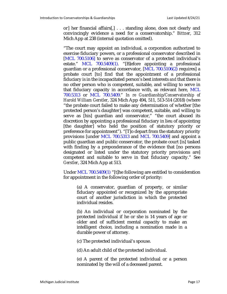or] her financial affairs[,] . . . standing alone, does not clearly and convincingly evidence a need for a conservatorship." *Bittner*, 312 Mich App at 238 (internal quotation omitted).

"The court may appoint an individual, a corporation authorized to exercise fiduciary powers, or a professional conservator described in [MCL 700.5106] to serve as conservator of a protected individual's estate." MCL 700.5409(1). "[B]efore appointing a professional guardian or a professional conservator, [MCL 700.5106(2) requires] a probate court [to] find that the appointment of a professional fiduciary is in the incapacitated person's best interests *and* that there is no other person who is competent, suitable, and willing to serve in that fiduciary capacity in accordance with, as relevant here, MCL 700.5313 or MCL 700.5409." *In re Guardianship/Conservatorship of Harold William Gerstler*, 324 Mich App 494, 511, 513-514 (2018) (where "the probate court failed to make any determination of whether [the protected person's daughter] was competent, suitable, and willing to serve as [his] guardian and conservator," "the court abused its discretion by appointing a professional fiduciary in lieu of appointing [the daughter] who held the position of statutory priority or preference for appointment"). "[T]o depart from the statutory priority provisions [under MCL 700.5313 and MCL 700.5409] and appoint a public guardian and public conservator, the probate court [is] tasked with finding by a preponderance of the evidence that [no persons designated or listed under the statutory priority provisions are] competent and suitable to serve in that fiduciary capacity." See *Gerstler*, 324 Mich App at 513.

Under MCL 700.5409(1) "[t]he following are entitled to consideration for appointment in the following order of priority:

(a) A conservator, guardian of property, or similar fiduciary appointed or recognized by the appropriate court of another jurisdiction in which the protected individual resides.

(b) An individual or corporation nominated by the protected individual if he or she is 14 years of age or older and of sufficient mental capacity to make an intelligent choice, including a nomination made in a durable power of attorney.

(c) The protected individual's spouse.

(d) An adult child of the protected individual.

(e) A parent of the protected individual or a person nominated by the will of a deceased parent.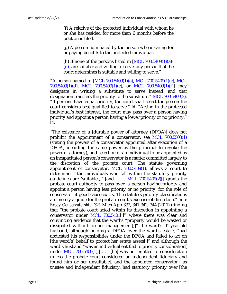(f) A relative of the protected individual with whom he or she has resided for more than 6 months before the petition is filed.

(g) A person nominated by the person who is caring for or paying benefits to the protected individual.

(h) If none of the persons listed in  $[MCL 700.5409(1)(a)$ - $(g)$ ] are suitable and willing to serve, any person that the court determines is suitable and willing to serve."

"A person named in [MCL 700.5409(1)(a), MCL 700.5409(1)(c), MCL 700.5409(1)(d), MCL 700.5409(1)(e), or MCL 700.5409(1)(f)] may designate in writing a substitute to serve instead, and that designation transfers the priority to the substitute." MCL 700.5409(2). "If persons have equal priority, the court shall select the person the court considers best qualified to serve." *Id.* "Acting in the protected individual's best interest, the court may pass over a person having priority and appoint a person having a lower priority or no priority." *Id*.

"The existence of a [durable power of attorney (DPOA)] does not prohibit the appointment of a conservator, see MCL 700.5503(1) (stating the powers of a conservator appointed after execution of a DPOA, including the same power as the principal to revoke the power of attorney), and selection of an individual to be appointed as an incapacitated person's conservator is a matter committed largely to the discretion of the probate court. The statute governing appointment of conservator, MCL  $700.5409(1)$ , allows a court to determine if the individuals who fall within the statutory priority guidelines are 'suitable[,]' [and]  $\ldots$  MCL 700.5409(2)[] grants the probate court authority to pass over 'a person having priority and appoint a person having less priority or no priority' for the role of conservator if good cause exists. The statute's priority classifications are merely a guide for the probate court's exercise of discretion." *In re Brody Conservatorship*, 321 Mich App 332, 341-342, 344 (2017) (finding that "the probate court acted within its discretion in appointing a conservator under MCL 700.5401[,]" where there was clear and convincing evidence that the ward's "property would be wasted or dissipated without proper management[;]" the ward's 91-year-old husband, although holding a DPOA over the ward's estate, "had abdicated his responsibilities under the DPOA and failed to act on [the ward's] behalf to protect her estate assets[;]" and although the ward's husband "was an individual entitled to priority consideration[ under MCL  $700.5409(1)$ ,  $\ldots$  [he] was not entitled to consideration unless the probate court considered an independent fiduciary and found him or her unsuitable[, and the appointed conservator], as trustee and independent fiduciary, had statutory priority over [the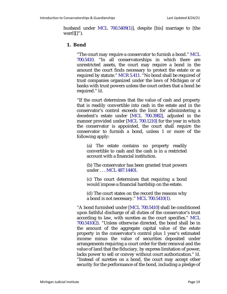husband under MCL 700.5409(1)], despite [his] marriage to [the ward][]").

#### **1. Bond**

"The court may require a conservator to furnish a bond." MCL 700.5410. "In all conservatorships in which there are unrestricted assets, the court may require a bond in the amount the court finds necessary to protect the estate or as required by statute." MCR 5.411. "No bond shall be required of trust companies organized under the laws of Michigan or of banks with trust powers unless the court orders that a bond be required." *Id*.

"If the court determines that the value of cash and property that is readily convertible into cash in the estate and in the conservator's control exceeds the limit for administering a decedent's estate under [MCL 700.3982], adjusted in the manner provided under [MCL 700.1210] for the year in which the conservator is appointed, the court shall require the conservator to furnish a bond, unless 1 or more of the following apply:

(a) The estate contains no property readily convertible to cash and the cash is in a restricted account with a financial institution.

(b) The conservator has been granted trust powers under . . . MCL 487.14401.

(c) The court determines that requiring a bond would impose a financial hardship on the estate.

(d) The court states on the record the reasons why a bond is not necessary." MCL 700.5410(1).

"A bond furnished under [MCL 700.5410] shall be conditioned upon faithful discharge of all duties of the conservator's trust according to law, with sureties as the court specifies." MCL  $700.5410(2)$ . "Unless otherwise directed, the bond shall be in the amount of the aggregate capital value of the estate property in the conservator's control plus 1 year's estimated income minus the value of securities deposited under arrangements requiring a court order for their removal and the value of land that the fiduciary, by express limitation of power, lacks power to sell or convey without court authorization." *Id.* "Instead of sureties on a bond, the court may accept other security for the performance of the bond, including a pledge of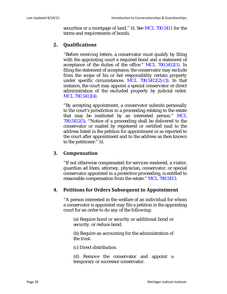securities or a mortgage of land." *Id.* See MCL 700.5411 for the terms and requirements of bonds.

#### **2. Qualifications**

"Before receiving letters, a conservator must qualify by filing with the appointing court a required bond and a statement of acceptance of the duties of the office." MCL 700.5412(1). In filing the statement of acceptance, the conservator may exclude from the scope of his or her responsibility certain property under specific circumstances. MCL 700.5412(2)-(3). In that instance, the court may appoint a special conservator or direct administration of the excluded property by judicial order. MCL 700.5412(4).

"By accepting appointment, a conservator submits personally to the court's jurisdiction in a proceeding relating to the estate that may be instituted by an interested person." MCL 700.5412(5). "Notice of a proceeding shall be delivered to the conservator or mailed by registered or certified mail to the address listed in the petition for appointment or as reported to the court after appointment and to the address as then known to the petitioner." *Id*.

#### **3. Compensation**

"If not otherwise compensated for services rendered, a visitor, guardian ad litem, attorney, physician, conservator, or special conservator appointed in a protective proceeding, is entitled to reasonable compensation from the estate." MCL 700.5413.

#### **4. Petitions for Orders Subsequent to Appointment**

"A person interested in the welfare of an individual for whom a conservator is appointed may file a petition in the appointing court for an order to do any of the following:

(a) Require bond or security or additional bond or security, or reduce bond.

(b) Require an accounting for the administration of the trust.

(c) Direct distribution.

(d) Remove the conservator and appoint a temporary or successor conservator.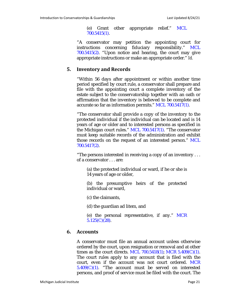(e) Grant other appropriate relief." MCL 700.5415(1).

"A conservator may petition the appointing court for instructions concerning fiduciary responsibility." MCL 700.5415(2). "Upon notice and hearing, the court may give appropriate instructions or make an appropriate order." *Id.*

#### **5. Inventory and Records**

"Within 56 days after appointment or within another time period specified by court rule, a conservator shall prepare and file with the appointing court a complete inventory of the estate subject to the conservatorship together with an oath or affirmation that the inventory is believed to be complete and accurate so far as information permits." MCL 700.5417(1).

"The conservator shall provide a copy of the inventory to the protected individual if the individual can be located and is 14 years of age or older and to interested persons as specified in the Michigan court rules." MCL 700.5417(1). "The conservator must keep suitable records of the administration and exhibit those records on the request of an interested person." MCL 700.5417(2).

"The persons interested in receiving a copy of an inventory . . . of a conservator . . . are:

(a) the protected individual or ward, if he or she is 14 years of age or older,

(b) the presumptive heirs of the protected individual or ward,

(c) the claimants,

(d) the guardian ad litem, and

(e) the personal representative, if any." MCR 5.125(C)(28).

#### **6. Accounts**

A conservator must file an annual account unless otherwise ordered by the court, upon resignation or removal and at other times as the court directs. MCL 700.5418(1); MCR 5.409(C)(1). The court rules apply to any account that is filed with the court, even if the account was not court ordered. MCR  $5.409(C)(1)$ . "The account must be served on interested persons, and proof of service must be filed with the court. The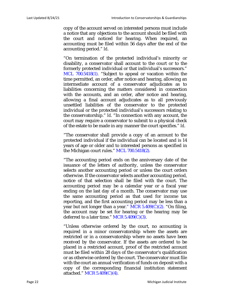copy of the account served on interested persons must include a notice that any objections to the account should be filed with the court and noticed for hearing. When required, an accounting must be filed within 56 days after the end of the accounting period." *Id*.

"On termination of the protected individual's minority or disability, a conservator shall account to the court or to the formerly protected individual or that individual's successors." MCL 700.5418(1). "Subject to appeal or vacation within the time permitted, an order, after notice and hearing, allowing an intermediate account of a conservator adjudicates as to liabilities concerning the matters considered in connection with the accounts, and an order, after notice and hearing, allowing a final account adjudicates as to all previously unsettled liabilities of the conservator to the protected individual or the protected individual's successors relating to the conservatorship." *Id*. "In connection with any account, the court may require a conservator to submit to a physical check of the estate to be made in any manner the court specifies." *Id*.

"The conservator shall provide a copy of an account to the protected individual if the individual can be located and is 14 years of age or older and to interested persons as specified in the Michigan court rules." MCL 700.5418(2).

"The accounting period ends on the anniversary date of the issuance of the letters of authority, unless the conservator selects another accounting period or unless the court orders otherwise. If the conservator selects another accounting period, notice of that selection shall be filed with the court. The accounting period may be a calendar year or a fiscal year ending on the last day of a month. The conservator may use the same accounting period as that used for income tax reporting, and the first accounting period may be less than a year but not longer than a year." MCR  $5.409(C)(2)$ . "On filing, the account may be set for hearing or the hearing may be deferred to a later time." MCR  $5.409(C)(3)$ .

"Unless otherwise ordered by the court, no accounting is required in a minor conservatorship where the assets are restricted or in a conservatorship where no assets have been received by the conservator. If the assets are ordered to be placed in a restricted account, proof of the restricted account must be filed within 28 days of the conservator's qualification or as otherwise ordered by the court. The conservator must file with the court an annual verification of funds on deposit with a copy of the corresponding financial institution statement attached." MCR 5.409(C)(4).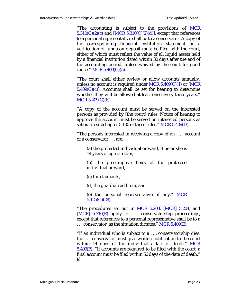"The accounting is subject to the provisions of MCR  $5.310(C)(2)(c)$  and [MCR  $5.310(C)(2)(d)$ ], except that references to a personal representative shall be to a conservator. A copy of the corresponding financial institution statement or a verification of funds on deposit must be filed with the court, either of which must reflect the value of all liquid assets held by a financial institution dated within 30 days after the end of the accounting period, unless waived by the court for good cause." MCR 5.409(C)(5).

"The court shall either review or allow accounts annually, unless no account is required under MCR  $5.409(C)(1)$  or [MCR  $5.409(C)(4)$ ]. Accounts shall be set for hearing to determine whether they will be allowed at least once every three years." MCR 5.409(C)(6).

"A copy of the account must be served on the interested persons as provided by [the court] rules. Notice of hearing to approve the account must be served on interested persons as set out in subchapter 5.100 of these rules." MCR 5.409(D).

"The persons interested in receiving a copy of an . . . account of a conservator . . . are:

(a) the protected individual or ward, if he or she is 14 years of age or older,

(b) the presumptive heirs of the protected individual or ward,

(c) the claimants,

(d) the guardian ad litem, and

(e) the personal representative, if any." MCR  $5.125(C)(28)$ .

"The procedures set out in MCR 5.203, [MCR] 5.204, and  $[MCR]$  5.310(E) apply to . . . conservatorship proceedings, except that references to a personal representative shall be to a  $\ldots$  conservator, as the situation dictates." MCR 5.409 $(E)$ .

"If an individual who is subject to a . . . conservatorship dies, the . . . conservator must give written notification to the court within 14 days of the individual's date of death." MCR 5.409(F). "If accounts are required to be filed with the court, a final account must be filed within 56 days of the date of death." *Id*.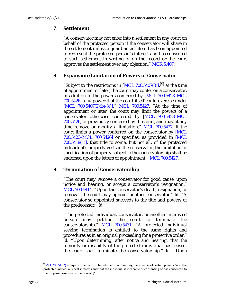#### **7. Settlement**

"A conservator may not enter into a settlement in any court on behalf of the protected person if the conservator will share in the settlement unless a guardian ad litem has been appointed to represent the protected person's interest and has consented to such settlement in writing or on the record or the court approves the settlement over any objection." MCR 5.407.

#### **8. Expansion/Limitation of Powers of Conservator**

"Subject to the restrictions in  $[MCL 700.5407(3)],$ <sup>[9]</sup> at the time of appointment or later, the court may confer on a conservator, in addition to the powers conferred by [MCL 700.5423–MCL 700.5426], any power that the court itself could exercise under [MCL 700.5407(2)(b)-(c)]." MCL 700.5427. "At the time of appointment or later, the court may limit the powers of a conservator otherwise conferred by [MCL 700.5423–MCL 700.5426] or previously conferred by the court, and may at any time remove or modify a limitation." MCL 700.5427. If the court limits a power conferred on the conservator by [MCL 700.5423–MCL 700.5426] or specifies, as provided in [MCL  $700.5419(1)$ , that title to some, but not all, of the protected individual's property vests in the conservator, the limitation or specification of property subject to the conservatorship shall be endorsed upon the letters of appointment." MCL 700.5427.

#### **9. Termination of Conservatorship**

"The court may remove a conservator for good cause, upon notice and hearing, or accept a conservator's resignation." MCL 700.5414. "Upon the conservator's death, resignation, or removal, the court may appoint another conservator." *Id*. "A conservator so appointed succeeds to the title and powers of the predecessor." *Id*.

"The protected individual, conservator, or another interested person may petition the court to terminate the conservatorship." MCL 700.5431. "A protected individual seeking termination is entitled to the same rights and procedures as in an original proceeding for a protective order." *Id*. "Upon determining, after notice and hearing, that the minority or disability of the protected individual has ceased, the court shall terminate the conservatorship." *Id*. "Upon

<sup>&</sup>lt;sup>9</sup> MCL 700.5407(3) requires the court to be satisfied that directing the exercise of certain powers "is in the protected individual's best interests and that the individual is incapable of consenting or has consented to the proposed exercise of the power[.]"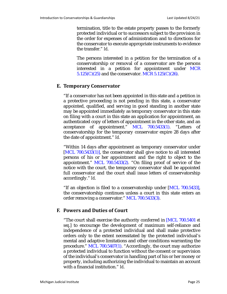termination, title to the estate property passes to the formerly protected individual or to successors subject to the provision in the order for expenses of administration and to directions for the conservator to execute appropriate instruments to evidence the transfer." *Id*.

The persons interested in a petition for the termination of a conservatorship or removal of a conservator are the persons interested in a petition for appointment under MCR  $5.125(C)(25)$  and the conservator. MCR  $5.125(C)(26)$ .

#### **E. Temporary Conservator**

"If a conservator has not been appointed in this state and a petition in a protective proceeding is not pending in this state, a conservator appointed, qualified, and serving in good standing in another state may be appointed immediately as temporary conservator in this state on filing with a court in this state an application for appointment, an authenticated copy of letters of appointment in the other state, and an acceptance of appointment." MCL 700.5433(1). "Letters of conservatorship for the temporary conservator expire 28 days after the date of appointment." *Id.*

"Within 14 days after appointment as temporary conservator under [MCL 700.5433(1)], the conservator shall give notice to all interested persons of his or her appointment and the right to object to the appointment." MCL  $700.5433(2)$ . "On filing proof of service of the notice with the court, the temporary conservator shall be appointed full conservator and the court shall issue letters of conservatorship accordingly." *Id*.

"If an objection is filed to a conservatorship under [MCL 700.5433], the conservatorship continues unless a court in this state enters an order removing a conservator." MCL 700.5433(3).

#### <span id="page-24-0"></span>**F. Powers and Duties of Court**

"The court shall exercise the authority conferred in [MCL 700.5401 *et seq*.] to encourage the development of maximum self-reliance and independence of a protected individual and shall make protective orders only to the extent necessitated by the protected individual's mental and adaptive limitations and other conditions warranting the procedure." MCL 700.5407(1). "Accordingly, the court may authorize a protected individual to function without the consent or supervision of the individual's conservator in handling part of his or her money or property, including authorizing the individual to maintain an account with a financial institution." *Id*.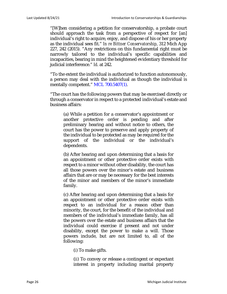"[W]hen considering a petition for conservatorship, a probate court should approach the task from a perspective of respect for [an] individual's right to acquire, enjoy, and dispose of his or her property as the individual sees fit." *In re Bittner Conservatorship*, 312 Mich App 227, 242 (2015). "Any restrictions on this fundamental right must be narrowly tailored to the individual's specific capabilities and incapacities, bearing in mind the heightened evidentiary threshold for judicial interference." *Id*. at 242.

"To the extent the individual is authorized to function autonomously, a person may deal with the individual as though the individual is mentally competent." MCL 700.5407(1).

"The court has the following powers that may be exercised directly or through a conservator in respect to a protected individual's estate and business affairs:

(a) While a petition for a conservator's appointment or another protective order is pending and after preliminary hearing and without notice to others, the court has the power to preserve and apply property of the individual to be protected as may be required for the support of the individual or the individual's dependents.

(b) After hearing and upon determining that a basis for an appointment or other protective order exists with respect to a minor without other disability, the court has all those powers over the minor's estate and business affairs that are or may be necessary for the best interests of the minor and members of the minor's immediate family.

(c) After hearing and upon determining that a basis for an appointment or other protective order exists with respect to an individual for a reason other than minority, the court, for the benefit of the individual and members of the individual's immediate family, has all the powers over the estate and business affairs that the individual could exercise if present and not under disability, except the power to make a will. Those powers include, but are not limited to, all of the following:

(*i*) To make gifts.

(*ii*) To convey or release a contingent or expectant interest in property including marital property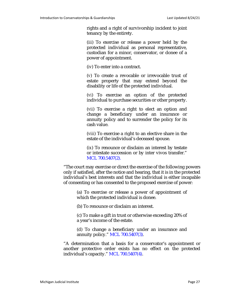rights and a right of survivorship incident to joint tenancy by the entirety.

(*iii*) To exercise or release a power held by the protected individual as personal representative, custodian for a minor, conservator, or donee of a power of appointment.

(*iv*) To enter into a contract.

(*v*) To create a revocable or irrevocable trust of estate property that may extend beyond the disability or life of the protected individual.

(*vi*) To exercise an option of the protected individual to purchase securities or other property.

(*vii*) To exercise a right to elect an option and change a beneficiary under an insurance or annuity policy and to surrender the policy for its cash value.

(*viii*) To exercise a right to an elective share in the estate of the individual's deceased spouse.

(*ix*) To renounce or disclaim an interest by testate or intestate succession or by inter vivos transfer." MCL 700.5407(2).

"The court may exercise or direct the exercise of the following powers only if satisfied, after the notice and hearing, that it is in the protected individual's best interests and that the individual is either incapable of consenting or has consented to the proposed exercise of power:

(a) To exercise or release a power of appointment of which the protected individual is donee.

(b) To renounce or disclaim an interest.

(c) To make a gift in trust or otherwise exceeding 20% of a year's income of the estate.

(d) To change a beneficiary under an insurance and annuity policy." MCL 700.5407(3).

"A determination that a basis for a conservator's appointment or another protective order exists has no effect on the protected individual's capacity." MCL 700.5407(4).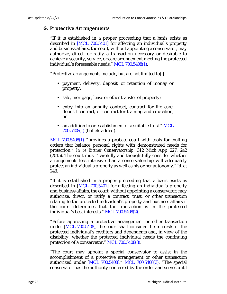#### <span id="page-27-0"></span>**G. Protective Arrangements**

"If it is established in a proper proceeding that a basis exists as described in [MCL 700.5401] for affecting an individual's property and business affairs, the court, without appointing a conservator, may authorize, direct, or ratify a transaction necessary or desirable to achieve a security, service, or care arrangement meeting the protected individual's foreseeable needs." MCL 700.5408(1).

"Protective arrangements include, but are not limited to[:]

- payment, delivery, deposit, or retention of money or property;
- sale, mortgage, lease or other transfer of property;
- entry into an annuity contract, contract for life care, deposit contract, or contract for training and education; or
- an addition to or establishment of a suitable trust." MCL 700.5408(1) (bullets added).

MCL 700.5408(1) "provides a probate court with tools for crafting orders that balance personal rights with demonstrated needs for protection." *In re Bittner Conservatorship*, 312 Mich App 227, 242 (2015). The court must "carefully and thoughtfully consider whether arrangements less intrusive than a conservatorship will adequately protect an individual's property as well as his or her autonomy." *Id*. at 243.

"If it is established in a proper proceeding that a basis exists as described in [MCL 700.5401] for affecting an individual's property and business affairs, the court, without appointing a conservator, may authorize, direct, or ratify a contract, trust, or other transaction relating to the protected individual's property and business affairs if the court determines that the transaction is in the protected individual's best interests." MCL 700.5408(2).

"Before approving a protective arrangement or other transaction under [MCL 700.5408], the court shall consider the interests of the protected individual's creditors and dependents and, in view of the disability, whether the protected individual needs the continuing protection of a conservator." MCL 700.5408(3).

"The court may appoint a special conservator to assist in the accomplishment of a protective arrangement or other transaction authorized under [MCL 700.5408]." MCL 700.5408(3). "The special conservator has the authority conferred by the order and serves until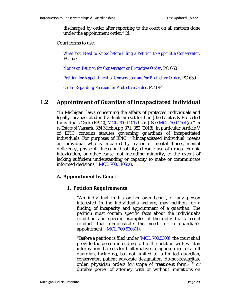discharged by order after reporting to the court on all matters done under the appointment order." *Id*.

Court forms to use:

*What You Need to Know before Filing a Petition to Appoint a Conservator,* PC 667

*Notice on Petition for Conservator or Protective Order*, PC 668

*Petition for Appointment of Conservator and/or Protective Order*, PC 639

*Order Regarding Petition for Protective Order*, PC 644

#### <span id="page-28-0"></span>**1.2 Appointment of Guardian of Incapacitated Individual**

"In Michigan, laws concerning the affairs of protected individuals and legally incapacitated individuals are set forth in [the Estates & Protected Individuals Code (EPIC), MCL 700.1101 *et seq*.]. See MCL 700.1201(a)." *In re Estate of Vansach*, 324 Mich App 371, 382 (2018). In particular, Article V of EPIC contains statutes governing guardians of incapacitated individuals. For purposes of EPIC, "'[i]ncapacitated individual' means an individual who is impaired by reason of mental illness, mental deficiency, physical illness or disability, chronic use of drugs, chronic intoxication, or other cause, not including minority, to the extent of lacking sufficient understanding or capacity to make or communicate informed decisions." MCL 700.1105(a).

#### **A. Appointment by Court**

#### **1. Petition Requirements**

"An individual in his or her own behalf, or any person interested in the individual's welfare, may petition for a finding of incapacity and appointment of a guardian. The petition must contain specific facts about the individual's condition and specific examples of the individual's recent conduct that demonstrate the need for a guardian's appointment." MCL 700.5303(1).

"Before a petition is filed under [MCL 700.5303], the court shall provide the person intending to file the petition with written information that sets forth alternatives to appointment of a full guardian, including, but not limited to, a limited guardian, conservator, patient advocate designation, do-not-resuscitate order, physician orders for scope of treatment form,  $\frac{1}{10}$  or durable power of attorney with or without limitations on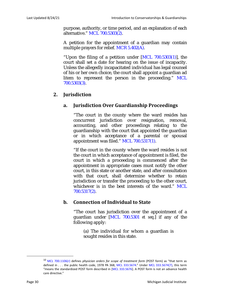purpose, authority, or time period, and an explanation of each alternative." MCL 700.5303(2).

A petition for the appointment of a guardian may contain multiple prayers for relief. MCR 5.402(A).

"Upon the filing of a petition under  $[MCL 700.5303(1)]$ , the court shall set a date for hearing on the issue of incapacity. Unless the allegedly incapacitated individual has legal counsel of his or her own choice, the court shall appoint a guardian ad litem to represent the person in the proceeding." MCL 700.5303(3).

#### **2. Jurisdiction**

#### **a. Jurisdiction Over Guardianship Proceedings**

"The court in the county where the ward resides has concurrent jurisdiction over resignation, removal, accounting, and other proceedings relating to the guardianship with the court that appointed the guardian or in which acceptance of a parental or spousal appointment was filed." MCL 700.5317(1).

"If the court in the county where the ward resides is not the court in which acceptance of appointment is filed, the court in which a proceeding is commenced after the appointment in appropriate cases must notify the other court, in this state or another state, and after consultation with that court, shall determine whether to retain jurisdiction or transfer the proceeding to the other court, whichever is in the best interests of the ward." MCL 700.5317(2).

#### **b. Connection of Individual to State**

"The court has jurisdiction over the appointment of a guardian under [MCL 700.5301 *et seq*.] if any of the following apply:

(a) The individual for whom a guardian is sought resides in this state.

<sup>10</sup> MCL 700.1106(r) defines *physician orders for scope of treatment form* (POST form) as "that term as defined in . . . the public health code, 1978 PA 368, MCL 333.5674." Under MCL 333.5674(7), this term "means the standardized POST form described in [MCL 333.5676]. A POST form is not an advance health care directive."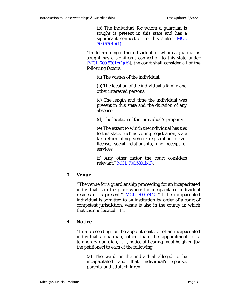(b) The individual for whom a guardian is sought is present in this state and has a significant connection to this state." MCL 700.5301b(1).

"In determining if the individual for whom a guardian is sought has a significant connection to this state under  $[ML 700.5301b(1)(b)]$ , the court shall consider all of the following factors:

(a) The wishes of the individual.

(b) The location of the individual's family and other interested persons.

(c) The length and time the individual was present in this state and the duration of any absence.

(d) The location of the individual's property.

(e) The extent to which the individual has ties to this state, such as voting registration, state tax return filing, vehicle registration, driver license, social relationship, and receipt of services.

(f) Any other factor the court considers relevant." MCL 700.5301b(2).

#### **3. Venue**

"The venue for a guardianship proceeding for an incapacitated individual is in the place where the incapacitated individual resides or is present." MCL 700.5302. "If the incapacitated individual is admitted to an institution by order of a court of competent jurisdiction, venue is also in the county in which that court is located." *Id*.

#### **4. Notice**

"In a proceeding for the appointment . . . of an incapacitated individual's guardian, other than the appointment of a temporary guardian, . . . , notice of hearing must be given [by the petitioner] to each of the following:

(a) The ward or the individual alleged to be incapacitated and that individual's spouse, parents, and adult children.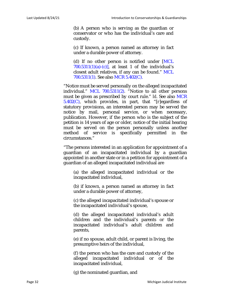(b) A person who is serving as the guardian or conservator or who has the individual's care and custody.

(c) If known, a person named as attorney in fact under a durable power of attorney.

(d) If no other person is notified under [MCL  $700.5311(1)(a)-(c)$ , at least 1 of the individual's closest adult relatives, if any can be found." MCL 700.5311(1). See also MCR 5.402(C).

"Notice must be served personally on the alleged incapacitated individual." MCL 700.5311(2). "Notice to all other persons must be given as prescribed by court rule." *Id*. See also MCR 5.402(C), which provides, in part, that "[r]egardless of statutory provisions, an interested person may be served the notice by mail, personal service, or when necessary, publication. However, if the person who is the subject of the petition is 14 years of age or older, notice of the initial hearing must be served on the person personally unless another method of service is specifically permitted in the circumstances."

"The persons interested in an application for appointment of a guardian of an incapacitated individual by a guardian appointed in another state or in a petition for appointment of a guardian of an alleged incapacitated individual are

(a) the alleged incapacitated individual or the incapacitated individual,

(b) if known, a person named as attorney in fact under a durable power of attorney,

(c) the alleged incapacitated individual's spouse or the incapacitated individual's spouse,

(d) the alleged incapacitated individual's adult children and the individual's parents or the incapacitated individual's adult children and parents,

(e) if no spouse, adult child, or parent is living, the presumptive heirs of the individual,

(f) the person who has the care and custody of the alleged incapacitated individual or of the incapacitated individual,

(g) the nominated guardian, and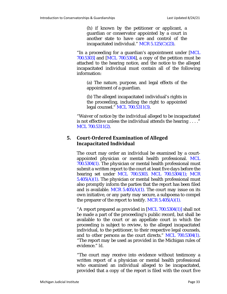(h) if known by the petitioner or applicant, a guardian or conservator appointed by a court in another state to have care and control of the incapacitated individual." MCR 5.125(C)(23).

"In a proceeding for a guardian's appointment under [MCL 700.5303] and [MCL 700.5304], a copy of the petition must be attached to the hearing notice, and the notice to the alleged incapacitated individual must contain all of the following information:

(a) The nature, purpose, and legal effects of the appointment of a guardian.

(b) The alleged incapacitated individual's rights in the proceeding, including the right to appointed legal counsel." MCL 700.5311(3).

"Waiver of notice by the individual alleged to be incapacitated is not effective unless the individual attends the hearing . . . ." MCL 700.5311(2).

#### **5. Court-Ordered Examination of Alleged Incapacitated Individual**

The court may order an individual be examined by a courtappointed physician or mental health professional. MCL 700.5304(1). The physician or mental health professional must submit a written report to the court at least five days before the hearing set under MCL 700.5303. MCL 700.5304(1); MCR  $5.405(A)(1)$ . The physician or mental health professional must also promptly inform the parties that the report has been filed and is available. MCR  $5.405(A)(1)$ . The court may issue on its own initiative, or any party may secure, a subpoena to compel the preparer of the report to testify. MCR  $5.405(A)(1)$ .

"A report prepared as provided in [MCL 700.5304(1)] shall not be made a part of the proceeding's public record, but shall be available to the court or an appellate court in which the proceeding is subject to review, to the alleged incapacitated individual, to the petitioner, to their respective legal counsels, and to other persons as the court directs." MCL 700.5304(1). "The report may be used as provided in the Michigan rules of evidence." *Id*.

"The court may receive into evidence without testimony a written report of a physician or mental health professional who examined an individual alleged to be incapacitated, provided that a copy of the report is filed with the court five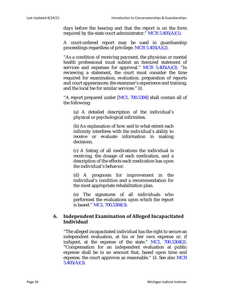days before the hearing and that the report is on the form required by the state court administrator." MCR  $5.405(A)(1)$ .

A court-ordered report may be used in guardianship proceedings regardless of privilege. MCR 5.405(A)(2).

"As a condition of receiving payment, the physician or mental health professional must submit an itemized statement of services and expenses for approval." MCR  $5.405(A)(3)$ . "In reviewing a statement, the court must consider the time required for examination, evaluation, preparation of reports and court appearances; the examiner's experience and training; and the local fee for similar services." *Id*.

"A report prepared under [MCL 700.5304] shall contain all of the following:

(a) A detailed description of the individual's physical or psychological infirmities.

(b) An explanation of how and to what extent each infirmity interferes with the individual's ability to receive or evaluate information in making decisions.

(c) A listing of all medications the individual is receiving, the dosage of each medication, and a description of the effects each medication has upon the individual's behavior.

(d) A prognosis for improvement in the individual's condition and a recommendation for the most appropriate rehabilitation plan.

(e) The signatures of all individuals who performed the evaluations upon which the report is based." MCL 700.5304(3).

#### **6. Independent Examination of Alleged Incapacitated Individual**

"The alleged incapacitated individual has the right to secure an independent evaluation, at his or her own expense or, if indigent, at the expense of the state." MCL 700.5304(2). "Compensation for an independent evaluation at public expense shall be in an amount that, based upon time and expense, the court approves as reasonable." *Id*. See also MCR  $5.405(A)(3)$ .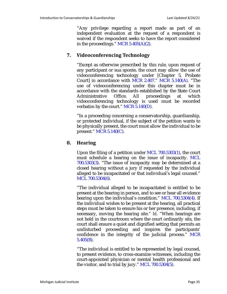"Any privilege regarding a report made as part of an independent evaluation at the request of a respondent is waived if the respondent seeks to have the report considered in the proceedings."  $MCR$  5.405(A)(2).

#### **7. Videoconferencing Technology**

"Except as otherwise prescribed by this rule, upon request of any participant or sua sponte, the court may allow the use of videoconferencing technology under [Chapter 5, Probate Court] in accordance with MCR 2.407." MCR 5.140(A). "The use of videoconferencing under this chapter must be in accordance with the standards established by the State Court Administrative Office. All proceedings at which videoconferencing technology is used must be recorded verbatim by the court." MCR 5.140(D).

"In a proceeding concerning a conservatorship, guardianship, or protected individual, if the subject of the petition wants to be physically present, the court must allow the individual to be present." MCR 5.140(C).

#### **8. Hearing**

Upon the filing of a petition under MCL 700.5303(1), the court must schedule a hearing on the issue of incapacity. MCL 700.5303(3). "The issue of incapacity may be determined at a closed hearing without a jury if requested by the individual alleged to be incapacitated or that individual's legal counsel." MCL 700.5304(6).

"The individual alleged to be incapacitated is entitled to be present at the hearing in person, and to see or hear all evidence bearing upon the individual's condition." MCL 700.5304(4). If the individual wishes to be present at the hearing, all practical steps must be taken to ensure his or her presence, including, if necessary, moving the hearing site." *Id*. "When hearings are not held in the courtroom where the court ordinarily sits, the court shall ensure a quiet and dignified setting that permits an undisturbed proceeding and inspires the participants' confidence in the integrity of the judicial process." MCR 5.405(B).

"The individual is entitled to be represented by legal counsel, to present evidence, to cross-examine witnesses, including the court-appointed physician or mental health professional and the visitor, and to trial by jury." MCL 700.5304(5).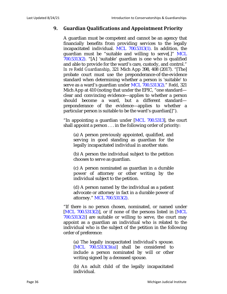#### **9. Guardian Qualifications and Appointment Priority**

A guardian must be competent and cannot be an agency that financially benefits from providing services to the legally incapacitated individual. MCL 700.5313(1). In addition, the guardian must be "suitable and willing to serve[.]" MCL 700.5313(2). "[A] 'suitable' guardian is one who is qualified and able to provide for the ward's care, custody, and control." *In re Redd Guardianship*, 321 Mich App 398, 408 (2017). "[The] probate court must use the preponderance-of-the-evidence standard when determining whether a person is 'suitable' to serve as a ward's guardian under MCL 700.5313(2)." *Redd*, 321 Mich App at 410 (noting that under the EPIC, "one standard clear and convincing evidence—applies to whether a person should become a ward, but a different standard preponderance of the evidence—applies to whether a particular person is suitable to be the ward's guardian[]").

"In appointing a guardian under [MCL 700.5313], the court shall appoint a person . . . in the following order of priority:

(a) A person previously appointed, qualified, and serving in good standing as guardian for the legally incapacitated individual in another state.

(b) A person the individual subject to the petition chooses to serve as guardian.

(c) A person nominated as guardian in a durable power of attorney or other writing by the individual subject to the petition.

(d) A person named by the individual as a patient advocate or attorney in fact in a durable power of attorney." MCL 700.5313(2).

"If there is no person chosen, nominated, or named under [MCL  $700.5313(2)$ ], or if none of the persons listed in [MCL  $700.5313(2)$  are suitable or willing to serve, the court may appoint as a guardian an individual who is related to the individual who is the subject of the petition in the following order of preference:

(a) The legally incapacitated individual's spouse.  $[MCL 700.5313(3)(a)]$  shall be considered to include a person nominated by will or other writing signed by a deceased spouse.

(b) An adult child of the legally incapacitated individual.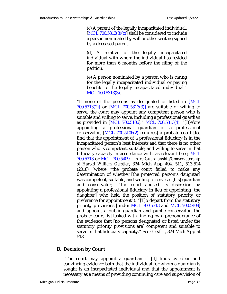(c) A parent of the legally incapacitated individual.  $[MCL 700.5313(3)(c)]$  shall be considered to include a person nominated by will or other writing signed by a deceased parent.

(d) A relative of the legally incapacitated individual with whom the individual has resided for more than 6 months before the filing of the petition.

(e) A person nominated by a person who is caring for the legally incapacitated individual or paying benefits to the legally incapacitated individual." MCL 700.5313(3).

"If none of the persons as designated or listed in [MCL 700.5313(2)] or [MCL 700.5313(3)] are suitable or willing to serve, the court may appoint any competent person who is suitable and willing to serve, including a professional guardian as provided in [MCL 700.5106]." MCL 700.5313(4). "[B]efore appointing a professional guardian or a professional conservator, [MCL 700.5106(2) requires] a probate court [to] find that the appointment of a professional fiduciary is in the incapacitated person's best interests *and* that there is no other person who is competent, suitable, and willing to serve in that fiduciary capacity in accordance with, as relevant here, MCL 700.5313 or MCL 700.5409." *In re Guardianship/Conservatorship of Harold William Gerstler*, 324 Mich App 494, 511, 513-514 (2018) (where "the probate court failed to make any determination of whether [the protected person's daughter] was competent, suitable, and willing to serve as [his] guardian and conservator," "the court abused its discretion by appointing a professional fiduciary in lieu of appointing [the daughter] who held the position of statutory priority or preference for appointment"). "[T]o depart from the statutory priority provisions [under MCL 700.5313 and MCL 700.5409] and appoint a public guardian and public conservator, the probate court [is] tasked with finding by a preponderance of the evidence that [no persons designated or listed under the statutory priority provisions are] competent and suitable to serve in that fiduciary capacity." See *Gerstler*, 324 Mich App at 513.

# **B. Decision by Court**

"The court may appoint a guardian if [it] finds by clear and convincing evidence both that the individual for whom a guardian is sought is an incapacitated individual and that the appointment is necessary as a means of providing continuing care and supervision of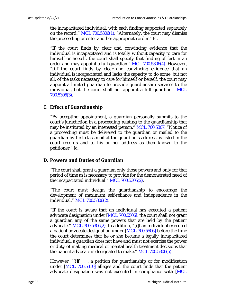the incapacitated individual, with each finding supported separately on the record." MCL 700.5306(1). "Alternately, the court may dismiss the proceeding or enter another appropriate order." *Id*.

"If the court finds by clear and convincing evidence that the individual is incapacitated and is totally without capacity to care for himself or herself, the court shall specify that finding of fact in an order and may appoint a full guardian." MCL 700.5306(4). However, "[i]f the court finds by clear and convincing evidence that an individual is incapacitated and lacks the capacity to do some, but not all, of the tasks necessary to care for himself or herself, the court may appoint a limited guardian to provide guardianship services to the individual, but the court shall not appoint a full guardian." MCL 700.5306(3).

# **C. Effect of Guardianship**

"By accepting appointment, a guardian personally submits to the court's jurisdiction in a proceeding relating to the guardianship that may be instituted by an interested person." MCL 700.5307. "Notice of a proceeding must be delivered to the guardian or mailed to the guardian by first-class mail at the guardian's address as listed in the court records and to his or her address as then known to the petitioner." *Id*.

# **D. Powers and Duties of Guardian**

"The court shall grant a guardian only those powers and only for that period of time as is necessary to provide for the demonstrated need of the incapacitated individual." MCL 700.5306(2).

"The court must design the guardianship to encourage the development of maximum self-reliance and independence in the individual." MCL 700.5306(2).

"If the court is aware that an individual has executed a patient advocate designation under [MCL 700.5506], the court shall not grant a guardian any of the same powers that are held by the patient advocate." MCL 700.5306(2). In addition, "[i]f an individual executed a patient advocate designation under [MCL 700.5506] before the time the court determines that he or she became a legally incapacitated individual, a guardian does not have and must not exercise the power or duty of making medical or mental health treatment decisions that the patient advocate is designated to make." MCL 700.5306(5).

However, "[i]f . . . a petition for guardianship or for modification under [MCL 700.5310] alleges and the court finds that the patient advocate designation was not executed in compliance with [MCL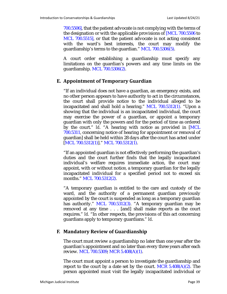700.5506], that the patient advocate is not complying with the terms of the designation or with the applicable provisions of [MCL 700.5506 to MCL 700.5515], or that the patient advocate is not acting consistent with the ward's best interests, the court may modify the guardianship's terms to the guardian." MCL 700.5306(5).

A court order establishing a guardianship must specify any limitations on the guardian's powers and any time limits on the guardianship. MCL 700.5306(2).

# **E. Appointment of Temporary Guardian**

"If an individual does not have a guardian, an emergency exists, and no other person appears to have authority to act in the circumstances, the court shall provide notice to the individual alleged to be incapacitated and shall hold a hearing." MCL 700.5312(1). "Upon a showing that the individual is an incapacitated individual, the court may exercise the power of a guardian, or appoint a temporary guardian with only the powers and for the period of time as ordered by the court." *Id*. "A hearing with notice as provided in [MCL 700.5311, concerning notice of hearing for appointment or removal of guardian] shall be held within 28 days after the court has acted under [MCL 700.5312(1)]." MCL 700.5312(1).

"If an appointed guardian is not effectively performing the guardian's duties and the court further finds that the legally incapacitated individual's welfare requires immediate action, the court may appoint, with or without notice, a temporary guardian for the legally incapacitated individual for a specified period not to exceed six months." MCL 700.5312(2).

"A temporary guardian is entitled to the care and custody of the ward, and the authority of a permanent guardian previously appointed by the court is suspended as long as a temporary guardian has authority." MCL 700.5312(3). "A temporary guardian may be removed at any time . . . [and] shall make reports as the court requires." *Id*. "In other respects, the provisions of this act concerning guardians apply to temporary guardians." *Id*.

# **F. Mandatory Review of Guardianship**

The court must review a guardianship no later than one year after the guardian's appointment and no later than every three years after each review. MCL 700.5309; MCR 5.408(A)(1).

The court must appoint a person to investigate the guardianship and report to the court by a date set by the court. MCR  $5.408(A)(2)$ . The person appointed must visit the legally incapacitated individual or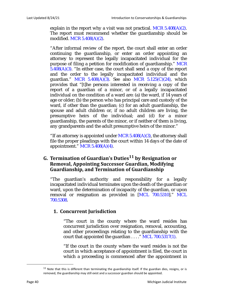explain in the report why a visit was not practical. MCR  $5.408(A)(2)$ . The report must recommend whether the guardianship should be modified. MCR 5.408(A)(2).

"After informal review of the report, the court shall enter an order continuing the guardianship, or enter an order appointing an attorney to represent the legally incapacitated individual for the purpose of filing a petition for modification of guardianship." MCR  $5.408(A)(3)$ . "In either case, the court shall send a copy of the report and the order to the legally incapacitated individual and the guardian." MCR  $5.408(A)(3)$ . See also MCR  $5.125(C)(24)$ , which provides that "[t]he persons interested in receiving a copy of the report of a guardian of a minor, or of a legally incapacitated individual on the condition of a ward are: (a) the ward, if 14 years of age or older; (b) the person who has principal care and custody of the ward, if other than the guardian; (c) for an adult guardianship, the spouse and adult children or, if no adult children are living, the presumptive heirs of the individual; and (d) for a minor guardianship, the parents of the minor, or if neither of them is living, any grandparents and the adult presumptive heirs of the minor."

"If an attorney is appointed under MCR  $5.408(A)(3)$ , the attorney shall file the proper pleadings with the court within 14 days of the date of appointment."  $MCR$  5.408(A)(4).

# **G. Termination of Guardian's Duties11 by Resignation or Removal, Appointing Successor Guardian, Modifying Guardianship, and Termination of Guardianship**

"The guardian's authority and responsibility for a legally incapacitated individual terminates upon the death of the guardian or ward, upon the determination of incapacity of the guardian, or upon removal or resignation as provided in [MCL 700.5310]." MCL 700.5308.

### **1. Concurrent Jurisdiction**

"The court in the county where the ward resides has concurrent jurisdiction over resignation, removal, accounting, and other proceedings relating to the guardianship with the court that appointed the guardian  $\ldots$ ." MCL 700.5317(1).

"If the court in the county where the ward resides is not the court in which acceptance of appointment is filed, the court in which a proceeding is commenced after the appointment in

 $11$  Note that this is different than terminating the guardianship itself. If the guardian dies, resigns, or is removed, the guardianship may still exist and a successor guardian should be appointed.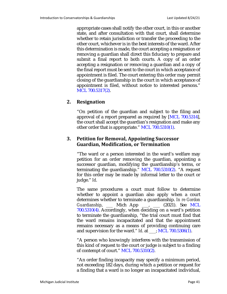appropriate cases shall notify the other court, in this or another state, and after consultation with that court, shall determine whether to retain jurisdiction or transfer the proceeding to the other court, whichever is in the best interests of the ward. After this determination is made, the court accepting a resignation or removing a guardian shall direct this fiduciary to prepare and submit a final report to both courts. A copy of an order accepting a resignation or removing a guardian and a copy of the final report must be sent to the court in which acceptance of appointment is filed. The court entering this order may permit closing of the guardianship in the court in which acceptance of appointment is filed, without notice to interested persons." MCL 700.5317(2).

# **2. Resignation**

"On petition of the guardian and subject to the filing and approval of a report prepared as required by [MCL 700.5314], the court shall accept the guardian's resignation and make any other order that is appropriate." MCL 700.5310(1).

# **3. Petition for Removal, Appointing Successor Guardian, Modification, or Termination**

"The ward or a person interested in the ward's welfare may petition for an order removing the guardian, appointing a successor guardian, modifying the guardianship's terms, or terminating the guardianship." MCL 700.5310(2). "A request for this order may be made by informal letter to the court or judge." *Id*.

The same procedures a court must follow to determine whether to appoint a guardian also apply when a court determines whether to terminate a guardianship. *In re Gordon Guardianship*, \_\_\_ Mich App \_\_\_, \_\_\_ (2021). See MCL 700.5310(4). Accordingly, when deciding on a ward's petition to terminate the guardianship, "the trial court must find that the ward remains incapacitated and that the appointment remains necessary as a means of providing continuing care and supervision for the ward." *Id*. at \_\_\_; MCL 700.5306(1).

"A person who knowingly interferes with the transmission of this kind of request to the court or judge is subject to a finding of contempt of court." MCL 700.5310(2).

"An order finding incapacity may specify a minimum period, not exceeding 182 days, during which a petition or request for a finding that a ward is no longer an incapacitated individual,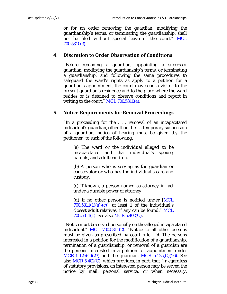or for an order removing the guardian, modifying the guardianship's terms, or terminating the guardianship, shall not be filed without special leave of the court." MCL 700.5310(3).

### **4. Discretion to Order Observation of Conditions**

"Before removing a guardian, appointing a successor guardian, modifying the guardianship's terms, or terminating a guardianship, and following the same procedures to safeguard the ward's rights as apply to a petition for a guardian's appointment, the court may send a visitor to the present guardian's residence and to the place where the ward resides or is detained to observe conditions and report in writing to the court." MCL 700.5310(4).

### **5. Notice Requirements for Removal Proceedings**

"In a proceeding for the . . . removal of an incapacitated individual's guardian, other than the . . . temporary suspension of a guardian, notice of hearing must be given [by the petitioner] to each of the following:

(a) The ward or the individual alleged to be incapacitated and that individual's spouse, parents, and adult children.

(b) A person who is serving as the guardian or conservator or who has the individual's care and custody.

(c) If known, a person named as attorney in fact under a durable power of attorney.

(d) If no other person is notified under [MCL  $700.5311(1)(a)-(c)$ , at least 1 of the individual's closest adult relatives, if any can be found." MCL 700.5311(1). See also MCR 5.402(C).

"Notice must be served personally on the alleged incapacitated individual." MCL 700.5311(2). "Notice to all other persons must be given as prescribed by court rule." *Id*. The persons interested in a petition for the modification of a guardianship, termination of a guardianship, or removal of a guardian are the persons interested in a petition for appointment under MCR  $5.125(C)(23)$  and the guardian. MCR  $5.125(C)(26)$ . See also  $MCR$  5.402(C), which provides, in part, that "[r]egardless of statutory provisions, an interested person may be served the notice by mail, personal service, or when necessary,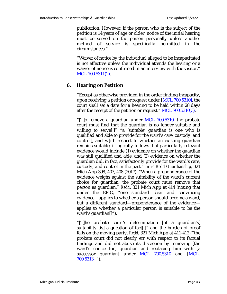publication. However, if the person who is the subject of the petition is 14 years of age or older, notice of the initial hearing must be served on the person personally unless another method of service is specifically permitted in the circumstances."

"Waiver of notice by the individual alleged to be incapacitated is not effective unless the individual attends the hearing or a waiver of notice is confirmed in an interview with the visitor." MCL 700.5311(2).

# **6. Hearing on Petition**

"Except as otherwise provided in the order finding incapacity, upon receiving a petition or request under [MCL 700.5310], the court shall set a date for a hearing to be held within 28 days after the receipt of the petition or request." MCL 700.5310(3).

"[T]o remove a guardian under MCL 700.5310, the probate court must find that the guardian is no longer suitable and willing to serve[;]" "a 'suitable' guardian is one who is qualified and able to provide for the ward's care, custody, and control[, and w]ith respect to whether an existing guardian remains suitable, it logically follows that particularly relevant evidence would include (1) evidence on whether the guardian was still qualified and able, and (2) evidence on whether the guardian did, in fact, satisfactorily provide for the ward's care, custody, and control in the past." *In re Redd Guardianship*, 321 Mich App 398, 407, 408 (2017). "When a preponderance of the evidence weighs against the suitability of the ward's current choice for guardian, the probate court must remove that person as guardian." *Redd*, 321 Mich App at 414 (noting that under the EPIC, "one standard—clear and convincing evidence—applies to whether a person should become a ward, but a different standard—preponderance of the evidence applies to whether a particular person is suitable to be the ward's guardian[]").

"[T]he probate court's determination [of a guardian's] suitability [is] a question of fact[,]" and the burden of proof falls on the moving party. *Redd*, 321 Mich App at 411-412 ("the probate court did not clearly err with respect to its factual findings and did not abuse its discretion by removing [the ward's choice for] guardian and replacing him with [a successor guardian] under MCL 700.5310 and [MCL] 700.5313[]").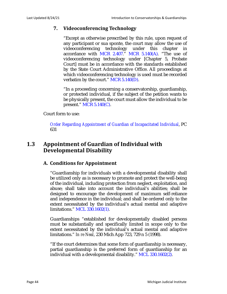# **7. Videoconferencing Technology**

"Except as otherwise prescribed by this rule, upon request of any participant or sua sponte, the court may allow the use of videoconferencing technology under this chapter in accordance with MCR 2.407." MCR 5.140(A). "The use of videoconferencing technology under [Chapter 5, Probate Court] must be in accordance with the standards established by the State Court Administrative Office. All proceedings at which videoconferencing technology is used must be recorded verbatim by the court." MCR 5.140(D).

"In a proceeding concerning a conservatorship, guardianship, or protected individual, if the subject of the petition wants to be physically present, the court must allow the individual to be present." MCR 5.140(C).

### Court form to use:

*Order Regarding Appointment of Guardian of Incapacitated Individual*, PC 631

# **1.3 Appointment of Guardian of Individual with Developmental Disability**

# **A. Conditions for Appointment**

"Guardianship for individuals with a developmental disability shall be utilized only as is necessary to promote and protect the well-being of the individual, including protection from neglect, exploitation, and abuse; shall take into account the individual's abilities; shall be designed to encourage the development of maximum self-reliance and independence in the individual; and shall be ordered only to the extent necessitated by the individual's actual mental and adaptive limitations." MCL 330.1602(1).

Guardianships "established for developmentally disabled persons must be substantially and specifically limited in scope only to the extent necessitated by the individual's actual mental and adaptive limitations." *In re Neal*, 230 Mich App 723, 729 n 5 (1998).

"If the court determines that some form of guardianship is necessary, partial guardianship is the preferred form of guardianship for an individual with a developmental disability." MCL 330.1602(2).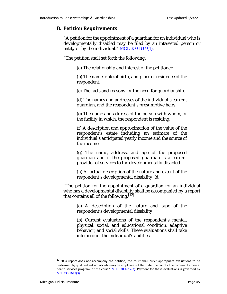# **B. Petition Requirements**

"A petition for the appointment of a guardian for an individual who is developmentally disabled may be filed by an interested person or entity or by the individual." MCL 330.1609(1).

"The petition shall set forth the following:

(a) The relationship and interest of the petitioner.

(b) The name, date of birth, and place of residence of the respondent.

(c) The facts and reasons for the need for guardianship.

(d) The names and addresses of the individual's current guardian, and the respondent's presumptive heirs.

(e) The name and address of the person with whom, or the facility in which, the respondent is residing.

(f) A description and approximation of the value of the respondent's estate including an estimate of the individual's anticipated yearly income and the source of the income.

(g) The name, address, and age of the proposed guardian and if the proposed guardian is a current provider of services to the developmentally disabled.

(h) A factual description of the nature and extent of the respondent's developmental disability. *Id*.

"The petition for the appointment of a guardian for an individual who has a developmental disability shall be accompanied by a report that contains all of the following:  $[12]$ 

(a) A description of the nature and type of the respondent's developmental disability.

(b) Current evaluations of the respondent's mental, physical, social, and educational condition, adaptive behavior, and social skills. These evaluations shall take into account the individual's abilities.

 $12$  "If a report does not accompany the petition, the court shall order appropriate evaluations to be performed by qualified individuals who may be employees of the state, the county, the community mental health services program, or the court." MCL 330.1612(3). Payment for these evaluations is governed by MCL 330.1612(3).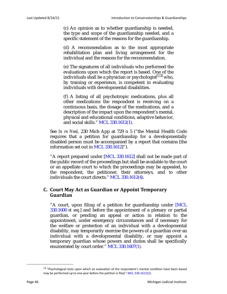(c) An opinion as to whether guardianship is needed, the type and scope of the guardianship needed, and a specific statement of the reasons for the guardianship.

(d) A recommendation as to the most appropriate rehabilitation plan and living arrangement for the individual and the reasons for the recommendation.

(e) The signatures of all individuals who performed the evaluations upon which the report is based. One of the individuals shall be a physician or psychologist<sup>[13]</sup> who, by training or experience, is competent in evaluating individuals with developmental disabilities.

(f) A listing of all psychotropic medications, plus all other medications the respondent is receiving on a continuous basis, the dosage of the medications, and a description of the impact upon the respondent's mental, physical and educational conditions, adaptive behavior, and social skills." MCL 330.1612(1).

See *In re Neal*, 230 Mich App at 729 n 5 ("the Mental Health Code requires that a petition for guardianship for a developmentally disabled person must be accompanied by a report that contains [the information set out in MCL 330.1612]").

"A report prepared under [MCL 330.1612] shall not be made part of the public record of the proceedings but shall be available to the court or an appellate court to which the proceedings may be appealed, to the respondent, the petitioner, their attorneys, and to other individuals the court directs." MCL 330.1612(4).

# **C. Court May Act as Guardian or Appoint Temporary Guardian**

"A court, upon filing of a petition for guardianship under [MCL 330.1600 *et seq*.] and before the appointment of a plenary or partial guardian, or pending an appeal or action in relation to the appointment, under emergency circumstances and if necessary for the welfare or protection of an individual with a developmental disability, may temporarily exercise the powers of a guardian over an individual with a developmental disability, or may appoint a temporary guardian whose powers and duties shall be specifically enumerated by court order." MCL 330.1607(1).

<sup>&</sup>lt;sup>13</sup> "Psychological tests upon which an evaluation of the respondent's mental condition have been based may be performed up to one year before the petition is filed." MCL 330.1612(2).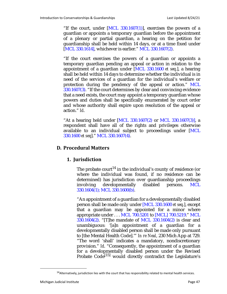"If the court, under  $[MCL 330.1607(1)]$ , exercises the powers of a guardian or appoints a temporary guardian before the appointment of a plenary or partial guardian, a hearing on the petition for guardianship shall be held within 14 days, or at a time fixed under [MCL 330.1614], whichever is earlier." MCL 330.1607(2).

"If the court exercises the powers of a guardian or appoints a temporary guardian pending an appeal or action in relation to the appointment of a guardian under [MCL 330.1600 *et seq*.], a hearing shall be held within 14 days to determine whether the individual is in need of the services of a guardian for the individual's welfare or protection during the pendency of the appeal or action." MCL 330.1607(3). "If the court determines by clear and convincing evidence that a need exists, the court may appoint a temporary guardian whose powers and duties shall be specifically enumerated by court order and whose authority shall expire upon resolution of the appeal or action." *Id*.

"At a hearing held under [MCL 330.1607(2) or MCL 330.1607(3)], a respondent shall have all of the rights and privileges otherwise available to an individual subject to proceedings under [MCL 330.1600 *et seq*]." MCL 330.1607(4).

### **D. Procedural Matters**

### **1. Jurisdiction**

The probate court<sup>14</sup> in the individual's county of residence (or where the individual was found, if no residence can be determined) has jurisdiction over guardianship proceedings involving developmentally disabled persons. MCL 330.1604(1); MCL 330.1600(b).

"An appointment of a guardian for a developmentally disabled person shall be made only under [MCL 330.1600 *et seq*.], except that a guardian may be appointed for a minor where appropriate under . . . MCL 700.5201 to [MCL] 700.5219." MCL 330.1604(2). "[T]he mandate of MCL 330.1604(2) is clear and unambiguous: '[a]n appointment of a guardian for a developmentally disabled person shall be made only pursuant to [the Mental Health Code].'" *In re Neal*, 230 Mich App at 729. "The word 'shall' indicates a mandatory, nondiscretionary provision." *Id*. "Consequently, the appointment of a guardian for a developmentally disabled person under the Revised Probate Code<sup>[15]</sup> would directly contradict the Legislature's

<sup>&</sup>lt;sup>14</sup> Alternatively, jurisdiction lies with the court that has responsibility related to mental health services.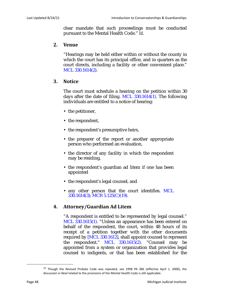clear mandate that such proceedings must be conducted pursuant to the Mental Health Code." *Id*.

### **2. Venue**

"Hearings may be held either within or without the county in which the court has its principal office, and in quarters as the court directs, including a facility or other convenient place." MCL 330.1614(2).

### **3. Notice**

The court must schedule a hearing on the petition within 30 days after the date of filing. MCL 330.1614(1). The following individuals are entitled to a notice of hearing:

- the petitioner,
- the respondent,
- the respondent's presumptive heirs,
- the preparer of the report or another appropriate person who performed an evaluation,
- the director of any facility in which the respondent may be residing,
- the respondent's guardian ad litem if one has been appointed
- the respondent's legal counsel, and
- any other person that the court identifies. MCL 330.1614(3); MCR 5.125(C)(19).

### **4. Attorney/Guardian Ad Litem**

"A respondent is entitled to be represented by legal counsel." MCL 330.1615(1). "Unless an appearance has been entered on behalf of the respondent, the court, within 48 hours of its receipt of a petition together with the other documents required by [MCL 330.1612], shall appoint counsel to represent the respondent." MCL 330.1615(2). "Counsel may be appointed from a system or organization that provides legal counsel to indigents, or that has been established for the

<sup>&</sup>lt;sup>15</sup> Though the Revised Probate Code was repealed, see 1998 PA 386 (effective April 1, 2000), the discussion in *Neal* related to the provisions of the Mental Health Code is still applicable.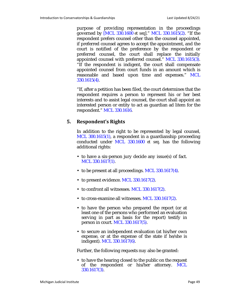purpose of providing representation in the proceedings governed by [MCL 330.1600 *et seq*]." MCL 330.1615(2). "If the respondent prefers counsel other than the counsel appointed, if preferred counsel agrees to accept the appointment, and the court is notified of the preference by the respondent or preferred counsel, the court shall replace the initially appointed counsel with preferred counsel." MCL 330.1615(3). "If the respondent is indigent, the court shall compensate appointed counsel from court funds in an amount which is reasonable and based upon time and expenses." MCL 330.1615(4).

"If, after a petition has been filed, the court determines that the respondent requires a person to represent his or her best interests and to assist legal counsel, the court shall appoint an interested person or entity to act as guardian ad litem for the respondent." MCL 330.1616.

# **5. Respondent's Rights**

In addition to the right to be represented by legal counsel, MCL 300.1615(1), a respondent in a guardianship proceeding conducted under MCL 330.1600 *et seq*. has the following additional rights:

- to have a six-person jury decide any issue(s) of fact. MCL 330.1617(1).
- to be present at all proceedings. MCL 330.1617(4).
- to present evidence. MCL 330.1617(2).
- to confront all witnesses. MCL 330.1617(2).
- to cross-examine all witnesses. MCL 330.1617(2).
- to have the person who prepared the report (or at least one of the persons who performed an evaluation serving in part as basis for the report) testify in person in court. MCL 330.1617(5).
- to secure an independent evaluation (at his/her own expense, or at the expense of the state if he/she is indigent). MCL 330.1617(6).

Further, the following requests *may* also be granted:

• to have the hearing closed to the public on the request of the respondent or his/her attorney. MCL 330.1617(3).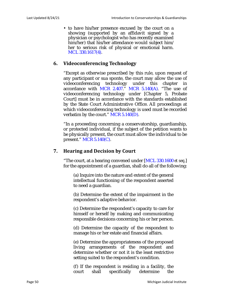• to have his/her presence excused by the court on a showing (supported by an affidavit signed by a physician or psychologist who has recently examined him/her) that his/her attendance would subject him/ her to serious risk of physical or emotional harm. MCL 330.1617(4).

### **6. Videoconferencing Technology**

"Except as otherwise prescribed by this rule, upon request of any participant or sua sponte, the court may allow the use of videoconferencing technology under this chapter in accordance with MCR 2.407." MCR  $5.140(A)$ . "The use of videoconferencing technology under [Chapter 5, Probate Court] must be in accordance with the standards established by the State Court Administrative Office. All proceedings at which videoconferencing technology is used must be recorded verbatim by the court." MCR 5.140(D).

"In a proceeding concerning a conservatorship, guardianship, or protected individual, if the subject of the petition wants to be physically present, the court must allow the individual to be present." MCR 5.140(C).

### **7. Hearing and Decision by Court**

"The court, at a hearing convened under [MCL 330.1600 *et seq*.] for the appointment of a guardian, shall do all of the following:

(a) Inquire into the nature and extent of the general intellectual functioning of the respondent asserted to need a guardian.

(b) Determine the extent of the impairment in the respondent's adaptive behavior.

(c) Determine the respondent's capacity to care for himself or herself by making and communicating responsible decisions concerning his or her person.

(d) Determine the capacity of the respondent to manage his or her estate and financial affairs.

(e) Determine the appropriateness of the proposed living arrangements of the respondent and determine whether or not it is the least restrictive setting suited to the respondent's condition.

(f) If the respondent is residing in a facility, the court shall specifically determine the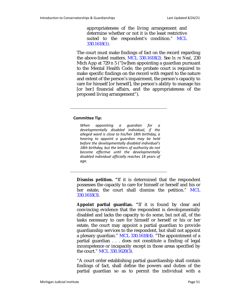appropriateness of the living arrangement and determine whether or not it is the least restrictive suited to the respondent's condition." MCL 330.1618(1).

The court must make findings of fact on the record regarding the above-listed matters. MCL 330.1618(2). See *In re Neal*, 230 Mich App at 729 n 5 ("[w]hen appointing a guardian pursuant to the Mental Health Code, the probate court is required to make specific findings on the record with regard to the nature and extent of the person's impairment, the person's capacity to care for himself [or herself], the person's ability to manage his [or her] financial affairs, and the appropriateness of the proposed living arrangement").

#### **Committee Tip:**

*When appointing a guardian for a developmentally disabled individual, if the alleged ward is close to his/her 18th birthday, a hearing to appoint a guardian may be held before the developmentally disabled individual's 18th birthday, but the letters of authority do not become effective until the developmentally disabled individual officially reaches 18 years of age.*

**Dismiss petition. "**If it is determined that the respondent possesses the capacity to care for himself or herself and his or her estate, the court shall dismiss the petition." MCL 330.1618(3).

**Appoint partial guardian. "**If it is found by clear and convincing evidence that the respondent is developmentally disabled and lacks the capacity to do some, but not all, of the tasks necessary to care for himself or herself or his or her estate, the court may appoint a partial guardian to provide guardianship services to the respondent, but shall not appoint a plenary guardian." MCL 330.1618(4). "The appointment of a partial guardian . . . does not constitute a finding of legal incompetence or incapacity except in those areas specified by the court." MCL 330.1620(3).

"A court order establishing partial guardianship shall contain findings of fact, shall define the powers and duties of the partial guardian so as to permit the individual with a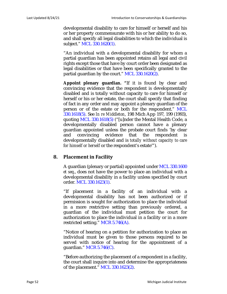developmental disability to care for himself or herself and his or her property commensurate with his or her ability to do so, and shall specify all legal disabilities to which the individual is subject." MCL 330.1620(1).

"An individual with a developmental disability for whom a partial guardian has been appointed retains all legal and civil rights except those that have by court order been designated as legal disabilities or that have been specifically granted to the partial guardian by the court." MCL 330.1620(2).

**Appoint plenary guardian. "**If it is found by clear and convincing evidence that the respondent is developmentally disabled and is totally without capacity to care for himself or herself or his or her estate, the court shall specify that finding of fact in any order and may appoint a plenary guardian of the person or of the estate or both for the respondent." MCL 330.1618(5). See *In re Middleton*, 198 Mich App 197, 199 (1993), quoting MCL 330.1618(5) ("[u]nder the Mental Health Code, a developmentally disabled person cannot have a plenary guardian appointed unless the probate court finds 'by clear and convincing evidence that the respondent is developmentally disabled and is *totally without capacity to care for himself or herself* or the respondent's estate'").

### **8. Placement in Facility**

A guardian (plenary or partial) appointed under MCL 330.1600 *et seq*., does not have the power to place an individual with a developmental disability in a facility unless specified by court order. MCL 330.1623(1).

"If placement in a facility of an individual with a developmental disability has not been authorized or if permission is sought for authorization to place the individual in a more restrictive setting than previously ordered, a guardian of the individual must petition the court for authorization to place the individual in a facility or in a more restricted setting." MCR 5.746(A).

"Notice of hearing on a petition for authorization to place an individual must be given to those persons required to be served with notice of hearing for the appointment of a guardian." MCR 5.746(C).

"Before authorizing the placement of a respondent in a facility, the court shall inquire into and determine the appropriateness of the placement." MCL 330.1623(2).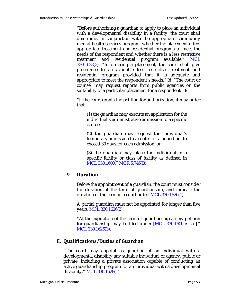"Before authorizing a guardian to apply to place an individual with a developmental disability in a facility, the court shall determine, in conjunction with the appropriate community mental health services program, whether the placement offers appropriate treatment and residential programs to meet the needs of the respondent and whether there is a less restrictive treatment and residential program available." MCL 330.1623(3). "In ordering a placement, the court shall give preference to an available less restrictive treatment and residential program provided that it is adequate and appropriate to meet the respondent's needs." *Id*. "The court or counsel may request reports from public agencies on the suitability of a particular placement for a respondent." *Id*.

"If the court grants the petition for authorization, it may order that:

(1) the guardian may execute an application for the individual's administrative admission to a specific center;

(2) the guardian may request the individual's temporary admission to a center for a period not to exceed 30 days for each admission; or

(3) the guardian may place the individual in a specific facility or class of facility as defined in MCL 330.1600." MCR 5.746(B).

# **9. Duration**

Before the appointment of a guardian, the court must consider the duration of the term of guardianship, and indicate the duration of the term in a court order. MCL 330.1626(1).

A partial guardian must not be appointed for longer than five years. MCL 330.1626(2).

"At the expiration of the term of guardianship a new petition for guardianship may be filed under [MCL 330.1600 *et seq*]." MCL 330.1626(3).

# **E. Qualifications/Duties of Guardian**

"The court may appoint as guardian of an individual with a developmental disability any suitable individual or agency, public or private, including a private association capable of conducting an active guardianship program for an individual with a developmental disability." MCL 330.1628(1).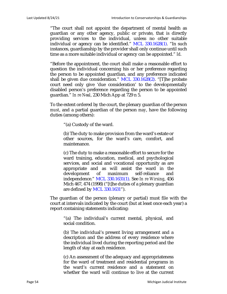"The court shall not appoint the department of mental health as guardian or any other agency, public or private, that is directly providing services to the individual, unless no other suitable individual or agency can be identified." MCL 330.1628(1). "In such instances, guardianship by the provider shall only continue until such time as a more suitable individual or agency can be appointed." *Id*.

"Before the appointment, the court shall make a reasonable effort to question the individual concerning his or her preference regarding the person to be appointed guardian, and any preference indicated shall be given due consideration." MCL 330.1628(2). "[T]he probate court need only give 'due consideration' to the developmentally disabled person's preference regarding the person to be appointed guardian." *In re Neal*, 230 Mich App at 729 n 5.

To the extent ordered by the court, the plenary guardian of the person *must*, and a partial guardian of the person *may*, have the following duties (among others):

"(a) Custody of the ward.

(b) The duty to make provision from the ward's estate or other sources, for the ward's care, comfort, and maintenance.

(c) The duty to make a reasonable effort to secure for the ward training, education, medical, and psychological services, and social and vocational opportunity as are appropriate and as will assist the ward in the development of maximum self-reliance and independence." MCL 330.1631(1). See *In re Wirsing*, 456 Mich 467, 474 (1998) ("[t]he duties of a plenary guardian are defined by MCL 330.1631").

The guardian of the person (plenary or partial) must file with the court at intervals indicated by the court (but at least once each year) a report containing statements indicating:

"(a) The individual's current mental, physical, and social condition.

(b) The individual's present living arrangement and a description and the address of every residence where the individual lived during the reporting period and the length of stay at each residence.

(c) An assessment of the adequacy and appropriateness for the ward of treatment and residential programs in the ward's current residence and a statement on whether the ward will continue to live at the current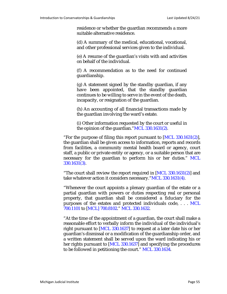residence or whether the guardian recommends a more suitable alternative residence.

(d) A summary of the medical, educational, vocational, and other professional services given to the individual.

(e) A resume of the guardian's visits with and activities on behalf of the individual.

(f) A recommendation as to the need for continued guardianship.

(g) A statement signed by the standby guardian, if any have been appointed, that the standby guardian continues to be willing to serve in the event of the death, incapacity, or resignation of the guardian.

(h) An accounting of all financial transactions made by the guardian involving the ward's estate.

(i) Other information requested by the court or useful in the opinion of the guardian."MCL 330.1631(2).

"For the purpose of filing this report pursuant to  $[MCL 330.1631(2)],$ the guardian shall be given access to information, reports and records from facilities, a community mental health board or agency, court staff, a public or private entity or agency, or a suitable person that are necessary for the guardian to perform his or her duties." MCL 330.1631(3).

"The court shall review the report required in [MCL 330.1631(2)] and take whatever action it considers necessary."MCL 330.1631(4).

"Whenever the court appoints a plenary guardian of the estate or a partial guardian with powers or duties respecting real or personal property, that guardian shall be considered a fiduciary for the purposes of the estates and protected individuals code, . . . MCL 700.1101 to [MCL] 700.8102." MCL 330.1632.

"At the time of the appointment of a guardian, the court shall make a reasonable effort to verbally inform the individual of the individual's right pursuant to [MCL 330.1637] to request at a later date his or her guardian's dismissal or a modification of the guardianship order, and a written statement shall be served upon the ward indicating his or her rights pursuant to [MCL 330.1637] and specifying the procedures to be followed in petitioning the court." MCL 330.1634.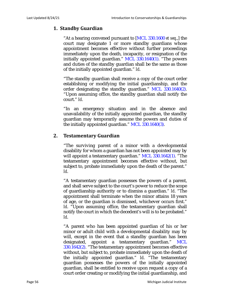# **1. Standby Guardian**

"At a hearing convened pursuant to [MCL 330.1600 *et seq*.,] the court may designate 1 or more standby guardians whose appointment becomes effective without further proceedings immediately upon the death, incapacity, or resignation of the initially appointed guardian." MCL 330.1640(1). "The powers and duties of the standby guardian shall be the same as those of the initially appointed guardian." *Id*.

"The standby guardian shall receive a copy of the court order establishing or modifying the initial guardianship, and the order designating the standby guardian." MCL 330.1640(2). "Upon assuming office, the standby guardian shall notify the court." *Id*.

"In an emergency situation and in the absence and unavailability of the initially appointed guardian, the standby guardian may temporarily assume the powers and duties of the initially appointed guardian." MCL 330.1640(3).

# **2. Testamentary Guardian**

"The surviving parent of a minor with a developmental disability for whom a guardian has not been appointed may by will appoint a testamentary guardian." MCL 330.1642(1). "The testamentary appointment becomes effective without, but subject to, probate immediately upon the death of the parent." *Id*.

"A testamentary guardian possesses the powers of a parent, and shall serve subject to the court's power to reduce the scope of guardianship authority or to dismiss a guardian." *Id*. "The appointment shall terminate when the minor attains 18 years of age, or the guardian is dismissed, whichever occurs first." *Id*. "Upon assuming office, the testamentary guardian shall notify the court in which the decedent's will is to be probated." *Id*.

"A parent who has been appointed guardian of his or her minor or adult child with a developmental disability may by will, except in the event that a standby guardian has been designated, appoint a testamentary guardian." MCL 330.1642(2). "The testamentary appointment becomes effective without, but subject to, probate immediately upon the death of the initially appointed guardian." *Id*. "The testamentary guardian possesses the powers of the initially appointed guardian, shall be entitled to receive upon request a copy of a court order creating or modifying the initial guardianship, and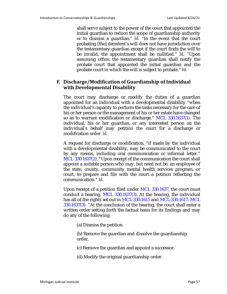shall serve subject to the power of the court that appointed the initial guardian to reduce the scope of guardianship authority or to dismiss a guardian." *Id*. "In the event that the court probating [the] decedent's will does not have jurisdiction over the testamentary guardian except if the court finds the will to be invalid, the appointment shall be nullified." *Id*. "Upon assuming office, the testamentary guardian shall notify the probate court that appointed the initial guardian and the probate court in which the will is subject to probate." *Id*.

# **F. Discharge/Modification of Guardianship of Individual with Developmental Disability**

The court may discharge or modify the duties of a guardian appointed for an individual with a developmental disability "when the individual's capacity to perform the tasks necessary for the care of his or her person or the management of his or her estate have changed so as to warrant modification or discharge." MCL 330.1637(1). The individual, his or her guardian, or any interested person on the individual's behalf may petition the court for a discharge or modification order. *Id*.

A request for discharge or modification, "if made by the individual with a developmental disability, may be communicated to the court by any means, including oral communication or informal letter." MCL 330.1637(2). "Upon receipt of the communication the court shall appoint a suitable person who may, but need not be, an employee of the state, county, community mental health services program, or court, to prepare and file with the court a petition reflecting the communication." *Id*.

Upon receipt of a petition filed under MCL 330.1637, the court must conduct a hearing. MCL 330.1637(3). At the hearing, the individual has all of the rights set out in MCL 330.1615 and MCL 330.1617. MCL 330.1637(3). "At the conclusion of the hearing, the court shall enter a written order setting forth the factual basis for its findings and may do any of the following:

(a) Dismiss the petition.

(b) Remove the guardian and dissolve the guardianship order.

(c) Remove the guardian and appoint a successor.

(d) Modify the original guardianship order.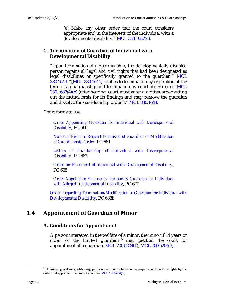(e) Make any other order that the court considers appropriate and in the interests of the individual with a developmental disability." MCL 330.1637(4).

# **G. Termination of Guardian of Individual with Developmental Disability**

"Upon termination of a guardianship, the developmentally disabled person regains all legal and civil rights that had been designated as legal disabilities or specifically granted to the guardian." MCL 330.1644. "[MCL 330.1644] applies to termination by expiration of the term of a guardianship and termination by court order under [MCL 330.1637(4)(b) (after hearing, court must enter a written order setting out the factual basis for its findings and may remove the guardian and dissolve the guardianship order)]." MCL 330.1644.

Court forms to use:

*Order Appointing Guardian for Individual with Developmental Disability*, PC 660

*Notice of Right to Request Dismissal of Guardian or Modification of Guardianship Order*, PC 661

*Letters of Guardianship of Individual with Developmental Disability*, PC 662

*Order for Placement of Individual with Developmental Disability*, PC 665

*Order Appointing Emergency Temporary Guardian for Individual with Alleged Developmental Disability*, PC 679

*Order Regarding Termination/Modification of Guardian for Individual with Developmental Disability*, PC 638b

# **1.4 Appointment of Guardian of Minor**

# **A. Conditions for Appointment**

A person interested in the welfare of a minor, the minor if 14 years or older, or the limited guardian<sup>16</sup> may petition the court for appointment of a guardian. MCL 700.5204(1); MCL 700.5204(3).

<sup>&</sup>lt;sup>16</sup> If limited guardian is petitioning, petition must not be based upon suspension of parental rights by the order that appointed the limited guardian. MCL 700.5204(3).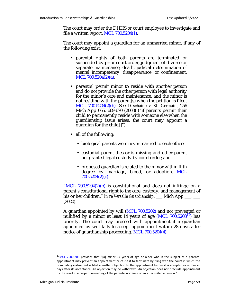The court may order the DHHS or court employee to investigate and file a written report. MCL 700.5204(1).

The court may appoint a guardian for an unmarried minor, if any of the following exist:

- parental rights of both parents are terminated or suspended by prior court order, judgment of divorce or separate maintenance, death, judicial determination of mental incompetency, disappearance, or confinement. MCL 700.5204(2)(a).
- parent(s) permit minor to reside with another person and do not provide the other person with legal authority for the minor's care and maintenance, and the minor is not residing with the parent(s) when the petition is filed. MCL 700.5204(2)(b). See *Deschaine v St. Germain*, 256 Mich App 665, 669-670 (2003) ("if parents permit their child to permanently reside with someone else when the guardianship issue arises, the court may appoint a guardian for the child[]").
- all of the following:
	- biological parents were never married to each other;
	- custodial parent dies or is missing and other parent not granted legal custody by court order; and
	- proposed guardian is related to the minor within fifth degree by marriage, blood, or adoption. MCL 700.5204(2)(c).

"MCL 700.5204(2)(b) is constitutional and does not infringe on a parent's constitutional right to the care, custody, and management of his or her children." *In re Versalle Guardianship*, Mich App <sub>1</sub>, \_\_\_ (2020).

A guardian appointed by will (MCL 700.5202) and not prevented or nullified by a minor at least 14 years of age (MCL  $700.5203^{17}$ ) has priority. The court may proceed with appointment if a guardian appointed by will fails to accept appointment within 28 days after notice of guardianship proceeding. MCL 700.5204(4).

<sup>&</sup>lt;sup>17</sup>MCL 700.5203 provides that "[a] minor 14 years of age or older who is the subject of a parental appointment may prevent an appointment or cause it to terminate by filing with the court in which the nominating instrument is filed a written objection to the appointment before it is accepted or within 28 days after its acceptance. An objection may be withdrawn. An objection does not preclude appointment by the court in a proper proceeding of the parental nominee or another suitable person."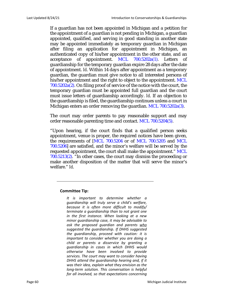If a guardian has not been appointed in Michigan and a petition for the appointment of a guardian is not pending in Michigan, a guardian appointed, qualified, and serving in good standing in another state may be appointed immediately as temporary guardian in Michigan after filing an application for appointment in Michigan, an authenticated copy of his/her appointment in the other state, and an acceptance of appointment. MCL 700.5202a(1). Letters of guardianship for the temporary guardian expire 28 days after the date of appointment. *Id*. Within 14 days after appointment as a temporary guardian, the guardian must give notice to all interested persons of his/her appointment and the right to object to the appointment. MCL  $700.5202a(2)$ . On filing proof of service of the notice with the court, the temporary guardian must be appointed full guardian and the court must issue letters of guardianship accordingly. *Id*. If an objection to the guardianship is filed, the guardianship continues unless a court in Michigan enters an order removing the guardian. MCL 700.5202a(3).

The court may order parents to pay reasonable support and may order reasonable parenting time and contact. MCL 700.5204(5).

"Upon hearing, if the court finds that a qualified person seeks appointment, venue is proper, the required notices have been given, the requirements of [MCL 700.5204 or of MCL 700.5205 and MCL 700.5206] are satisfied, and the minor's welfare will be served by the requested appointment, the court shall make the appointment." MCL 700.5213(2). "In other cases, the court may dismiss the proceeding or make another disposition of the matter that will serve the minor's welfare." *Id*.

#### **Committee Tip:**

*It is important to determine whether a guardianship will truly serve a child's welfare, because it is often more difficult to modify/ terminate a guardianship than to not grant one in the first instance. When looking at a new minor guardianship case, it may be advisable to ask the proposed guardian and parents who suggested the guardianship. If DHHS suggested the guardianship, proceed with caution: it is important to consider whether you are doing a child or parents a disservice by granting a guardianship in cases in which DHHS would otherwise have been involved to provide services. The court may want to consider having DHHS attend the guardianship hearing and, if it was their idea, explain what they envision as the long-term solution. This conversation is helpful for all involved, so that expectations concerning*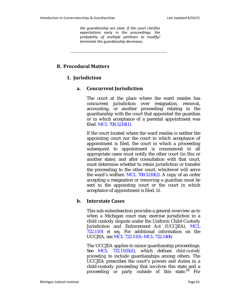*the guardianship are clear. If the court clarifies expectations early in the proceedings, the probability of multiple petitions to modify/ terminate the guardianship decreases.* 

# **B. Procedural Matters**

# **1. Jurisdiction**

### **a. Concurrent Jurisdiction**

The court at the place where the ward resides has concurrent jurisdiction over resignation, removal, accounting, or another proceeding relating to the guardianship with the court that appointed the guardian or in which acceptance of a parental appointment was filed. MCL 700.5218(1).

If the court located where the ward resides is neither the appointing court nor the court in which acceptance of appointment is filed, the court in which a proceeding subsequent to appointment is commenced in all appropriate cases must notify the other court (in this or another state), and after consultation with that court, must determine whether to retain jurisdiction or transfer the proceeding to the other court, whichever will serve the ward's welfare. MCL 700.5218(2). A copy of an order accepting a resignation or removing a guardian must be sent to the appointing court or the court in which acceptance of appointment is filed. *Id*.

### **b. Interstate Cases**

This sub-subsubsection provides a general overview as to when a Michigan court may exercise jurisdiction in a child custody dispute under the Uniform Child-Custody Jurisdiction and Enforcement Act (UCCJEA), MCL 722.1101 *et seq*. For additional information on the UCCJEA, see MCL 722.1101–MCL 722.1406.

The UCCJEA applies to minor guardianship proceedings. See MCL 722.1102(d), which defines *child-custody proceeding* to include guardianships among others. The UCCJEA prescribes the court's powers and duties in a child-custody proceeding that involves this state and a proceeding or party outside of this state.<sup>18</sup> For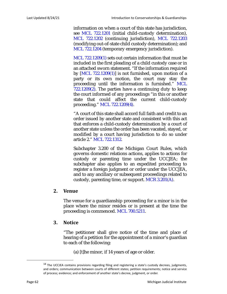information on when a court of this state has jurisdiction, see MCL 722.1201 (initial child-custody determination), MCL 722.1202 (continuing jurisdiction), MCL 722.1203 (modifying out-of-state child custody determination); and MCL 722.1204 (temporary emergency jurisdiction).

MCL 722.1209(1) sets out certain information that must be included in the first pleading of a child custody case or in an attached sworn statement. "If the information required by  $[MCL 722.1209(1)]$  is not furnished, upon motion of a party or its own motion, the court may stay the proceeding until the information is furnished." MCL  $722.1209(2)$ . The parties have a continuing duty to keep the court informed of any proceedings "in this or another state that could affect the current child-custody proceeding." MCL 722.1209(4).

"A court of this state shall accord full faith and credit to an order issued by another state and consistent with this act that enforces a child-custody determination by a court of another state unless the order has been vacated, stayed, or modified by a court having jurisdiction to do so under article 2." MCL 722.1312.

Subchapter 3.200 of the Michigan Court Rules, which governs domestic relations actions, applies to actions for custody or parenting time under the UCCJEA; the subchapter also applies to an expedited proceeding to register a foreign judgment or order under the UCCJEA, and to any ancillary or subsequent proceedings related to custody, parenting time, or support. MCR 3.201(A).

### **2. Venue**

The venue for a guardianship proceeding for a minor is in the place where the minor resides or is present at the time the proceeding is commenced. MCL 700.5211.

### **3. Notice**

"The petitioner shall give notice of the time and place of hearing of a petition for the appointment of a minor's guardian to each of the following:

(a) [t]he minor, if 14 years of age or older.

<sup>&</sup>lt;sup>18</sup> The UCCJEA contains provisions regarding filing and registering a state's custody decrees, judgments, and orders; communication between courts of different states; petition requirements; notice and service of process; evidence; and enforcement of another state's decree, judgment, or order.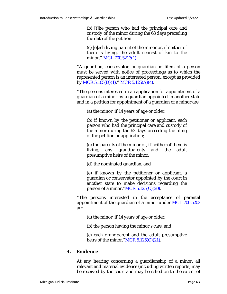(b) [t]he person who had the principal care and custody of the minor during the 63 days preceding the date of the petition.

(c) [e]ach living parent of the minor or, if neither of them is living, the adult nearest of kin to the minor." MCL 700.5213(1).

"A guardian, conservator, or guardian ad litem of a person must be served with notice of proceedings as to which the represented person is an interested person, except as provided by MCR 5.105(D)(1)." MCR 5.125(A)(4).

"The persons interested in an application for appointment of a guardian of a minor by a guardian appointed in another state and in a petition for appointment of a guardian of a minor are

(a) the minor, if 14 years of age or older;

(b) if known by the petitioner or applicant, each person who had the principal care and custody of the minor during the 63 days preceding the filing of the petition or application;

(c) the parents of the minor or, if neither of them is living, any grandparents and the adult presumptive heirs of the minor;

(d) the nominated guardian, and

(e) if known by the petitioner or applicant, a guardian or conservator appointed by the court in another state to make decisions regarding the person of a minor." $MCR$  5.125(C)(20).

"The persons interested in the acceptance of parental appointment of the guardian of a minor under MCL 700.5202 are

(a) the minor, if 14 years of age or older,

(b) the person having the minor's care, and

(c) each grandparent and the adult presumptive heirs of the minor." $MCR$  5.125(C)(21).

# **4. Evidence**

At any hearing concerning a guardianship of a minor, all relevant and material evidence (including written reports) may be received by the court and may be relied on to the extent of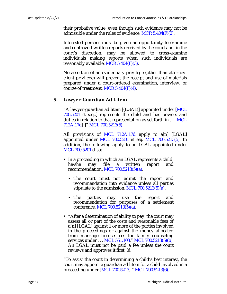their probative value, even though such evidence may not be admissible under the rules of evidence. MCR 5.404(F)(2).

Interested persons must be given an opportunity to examine and controvert written reports received by the court and, in the court's discretion, may be allowed to cross-examine individuals making reports when such individuals are reasonably available.  $MCR$  5.404 $(F)(3)$ .

No assertion of an evidentiary privilege (other than attorneyclient privilege) will prevent the receipt and use of materials prepared under a court-ordered examination, interview, or course of treatment. MCR  $5.404(F)(4)$ .

### **5. Lawyer-Guardian Ad Litem**

"A lawyer-guardian ad litem [(LGAL)] appointed under [MCL 700.5201 *et seq*.,] represents the child and has powers and duties in relation to that representation as set forth in . . . MCL 712A.17d[.]" MCL 700.5213(5).

All provisions of MCL 712A.17d apply to a[n] [LGAL] appointed under MCL 700.5201 *et seq*. MCL 700.5213(5). In addition, the following apply to an LGAL appointed under MCL 700.5201 *et seq*.:

- In a proceeding in which an LGAL represents a child, he/she may file a written report and recommendation. MCL 700.5213(5)(a).
	- **•** The court must not admit the report and recommendation into evidence unless all parties stipulate to the admission. MCL 700.5213(5)(a).
	- **•** The parties may use the report and recommendation for purposes of a settlement conference. MCL 700.5213(5)(a).
- "After a determination of ability to pay, the court may assess all or part of the costs and reasonable fees of a[n] [LGAL] against 1 or more of the parties involved in the proceedings or against the money allocated from marriage license fees for family counseling services under . . . MCL 551.103." MCL 700.5213(5)(b). An LGAL must not be paid a fee unless the court reviews and approves it first. *Id*.

"To assist the court in determining a child's best interest, the court may appoint a guardian ad litem for a child involved in a proceeding under [MCL 700.5213]." MCL 700.5213(6).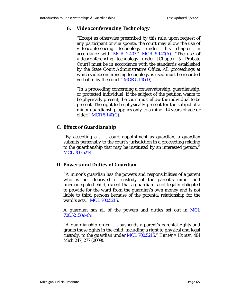### **6. Videoconferencing Technology**

"Except as otherwise prescribed by this rule, upon request of any participant or sua sponte, the court may allow the use of videoconferencing technology under this chapter in accordance with MCR 2.407." MCR 5.140(A). "The use of videoconferencing technology under [Chapter 5, Probate Court] must be in accordance with the standards established by the State Court Administrative Office. All proceedings at which videoconferencing technology is used must be recorded verbatim by the court." MCR 5.140(D).

"In a proceeding concerning a conservatorship, guardianship, or protected individual, if the subject of the petition wants to be physically present, the court must allow the individual to be present. The right to be physically present for the subject of a minor guardianship applies only to a minor 14 years of age or older." MCR 5.140(C).

# **C. Effect of Guardianship**

"By accepting a . . . court appointment as guardian, a guardian submits personally to the court's jurisdiction in a proceeding relating to the guardianship that may be instituted by an interested person." MCL 700.5214.

### **D. Powers and Duties of Guardian**

"A minor's guardian has the powers and responsibilities of a parent who is not deprived of custody of the parent's minor and unemancipated child, except that a guardian is not legally obligated to provide for the ward from the guardian's own money and is not liable to third persons because of the parental relationship for the ward's acts." MCL 700.5215.

A guardian has all of the powers and duties set out in MCL 700.5215(a)-(h).

"A guardianship order . . . suspends a parent's parental rights and grants those rights in the child, including a right to physical and legal custody, to the guardian under MCL 700.5215." *Hunter v Hunter*, 484 Mich 247, 277 (2009).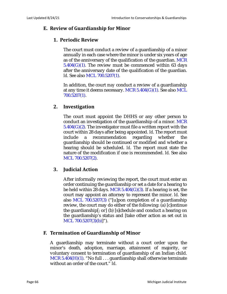# **E. Review of Guardianship for Minor**

# **1. Periodic Review**

The court must conduct a review of a guardianship of a minor annually in each case where the minor is under six years of age as of the anniversary of the qualification of the guardian. MCR  $5.404(G)(1)$ . The review must be commenced within 63 days after the anniversary date of the qualification of the guardian. *Id.* See also MCL 700.5207(1).

In addition, the court *may* conduct a review of a guardianship at any time it deems necessary. MCR  $5.404(G)(1)$ . See also MCL 700.5207(1).

# **2. Investigation**

The court must appoint the DHHS or any other person to conduct an investigation of the guardianship of a minor. MCR  $5.404(G)(2)$ . The investigator must file a written report with the court within 28 days after being appointed. *Id*. The report must include a recommendation regarding whether the guardianship should be continued or modified and whether a hearing should be scheduled. *Id*. The report must state the nature of the modification if one is recommended. *Id*. See also MCL 700.5207(2).

### **3. Judicial Action**

After informally reviewing the report, the court must enter an order continuing the guardianship or set a date for a hearing to be held within 28 days. MCR  $5.404(G)(3)$ . If a hearing is set, the court may appoint an attorney to represent the minor. *Id*. See also MCL 700.5207(3) ("[u]pon completion of a guardianship review, the court may do either of the following: (a) [c]ontinue the guardianship[; or] (b) [s]chedule and conduct a hearing on the guardianship's status and [take other action as set out in MCL 700.5207(3)(b)]").

# **F. Termination of Guardianship of Minor**

A guardianship may terminate without a court order upon the minor's death, adoption, marriage, attainment of majority, or voluntary consent to termination of guardianship of an Indian child. MCR  $5.404(H)(1)$ . "No full ... guardianship shall otherwise terminate without an order of the court." *Id*.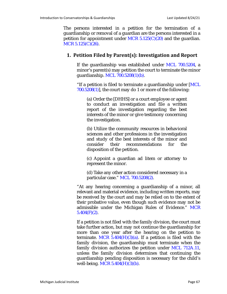The persons interested in a petition for the termination of a guardianship or removal of a guardian are the persons interested in a petition for appointment under MCR  $5.125(C)(20)$  and the guardian. MCR 5.125(C)(26).

### **1. Petition Filed by Parent(s): Investigation and Report**

If the guardianship was established under MCL 700.5204, a minor's parent(s) may petition the court to terminate the minor guardianship. MCL 700.5208(1)(b).

"If a petition is filed to terminate a guardianship under [MCL]  $700.5208(1)$ ], the court may do 1 or more of the following:

(a) Order the [DHHS] or a court employee or agent to conduct an investigation and file a written report of the investigation regarding the best interests of the minor or give testimony concerning the investigation.

(b) Utilize the community resources in behavioral sciences and other professions in the investigation and study of the best interests of the minor and consider their recommendations for the disposition of the petition.

(c) Appoint a guardian ad litem or attorney to represent the minor.

(d) Take any other action considered necessary in a particular case." MCL 700.5208(2).

"At any hearing concerning a guardianship of a minor, all relevant and material evidence, including written reports, may be received by the court and may be relied on to the extent of their probative value, even though such evidence may not be admissible under the Michigan Rules of Evidence." MCR  $5.404(F)(2)$ .

If a petition is not filed with the family division, the court must take further action, but may not continue the guardianship for more than one year after the hearing on the petition to terminate. MCR  $5.404(H)(3)(a)$ . If a petition is filed with the family division, the guardianship must terminate when the family division authorizes the petition under MCL 712A.11, unless the family division determines that continuing the guardianship pending disposition is necessary for the child's well-being. MCR 5.404(H)(3)(b).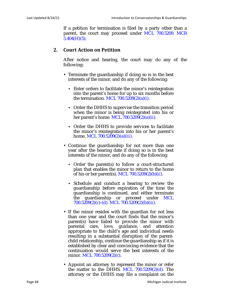If a petition for termination is filed by a party other than a parent, the court may proceed under MCL 700.5209. MCR  $5.404(H)(5)$ .

### **2. Court Action on Petition**

After notice and hearing, the court may do any of the following:

- Terminate the guardianship if doing so is in the best interests of the minor, and do any of the following:
	- Enter orders to facilitate the minor's reintegration into the parent's home for up to six months before the termination. MCL 700.5209(2)(a)(*i*).
	- **•** Order the DHHS to supervise the transition period when the minor is being reintegrated into his or her parent's home. MCL 700.5209(2)(a)(*ii*).
	- **•** Order the DHHS to provide services to facilitate the minor's reintegration into his or her parent's home. MCL 700.5209(2)(a)(*iii*).
- Continue the guardianship for not more than one year after the hearing date if doing so is in the best interests of the minor, and do any of the following:
	- **•** Order the parent(s) to follow a court-structured plan that enables the minor to return to the home of his or her parent(s). MCL 700.5209(2)(b)(*ii*).
	- **•** Schedule and conduct a hearing to review the guardianship before expiration of the time the guardianship is continued, and either terminate the guardianship or proceed under MCL 700.5209(2)(c)-(d). MCL 700.5209(2)(b)(*iii*).
- If the minor resides with the guardian for not less than one year and the court finds that the minor's parent(s) have failed to provide the minor with parental care, love, guidance, and attention appropriate to the child's age and individual needs resulting in a substantial disruption of the parentchild relationship, continue the guardianship as if it is established by clear and convincing evidence that the continuation would serve the best interests of the minor. MCL 700.5209(2)(c).
- Appoint an attorney to represent the minor or refer the matter to the DHHS. MCL  $700.5209(2)(d)$ . The attorney or the DHHS may file a complaint on the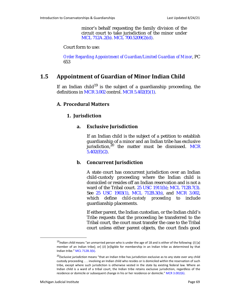minor's behalf requesting the family division of the circuit court to take jurisdiction of the minor under MCL 712A.2(b). MCL 700.5209(2)(d).

Court form to use:

*Order Regarding Appointment of Guardian/Limited Guardian of Minor*, PC 653

# **1.5 Appointment of Guardian of Minor Indian Child**

If an Indian child<sup>19</sup> is the subject of a guardianship proceeding, the definitions in MCR  $3.002$  control. MCR  $5.402(E)(1)$ .

### **A. Procedural Matters**

### **1. Jurisdiction**

### **a. Exclusive Jurisdiction**

If an Indian child is the subject of a petition to establish guardianship of a minor and an Indian tribe has exclusive jurisdiction, $20$  the matter must be dismissed. MCR  $5.402(E)(2)$ .

### **b. Concurrent Jurisdiction**

A state court has concurrent jurisdiction over an Indian child-custody proceeding where the Indian child is domiciled or resides off an Indian reservation and is not a ward of the Tribal court. 25 USC 1911(b); MCL 712B.7(3). See 25 USC 1903(1), MCL 712B.3(b), and MCR 3.002, which define *child-custody proceeding* to include guardianship placements.

If either parent, the Indian custodian, or the Indian child's Tribe requests that the proceeding be transferred to the Tribal court, the court must transfer the case to the Tribal court unless either parent objects, the court finds good

<sup>19</sup>*Indian child* means "an unmarried person who is under the age of 18 and is either of the following: (*i*) [a] member of an Indian tribe[; or] (*ii*) [e]ligible for membership in an Indian tribe as determined by that Indian tribe." MCL 712B.3(k).

<sup>20</sup>*Exclusive jurisdiction* means "that an Indian tribe has jurisdiction exclusive as to any state over any child custody proceeding . . . involving an Indian child who resides or is domiciled within the reservation of such tribe, except where such jurisdiction is otherwise vested in the state by existing federal law. Where an Indian child is a ward of a tribal court, the Indian tribe retains exclusive jurisdiction, regardless of the residence or domicile or subsequent change in his or her residence or domicile." MCR 3.002(6).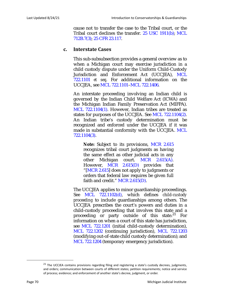cause not to transfer the case to the Tribal court, or the Tribal court declines the transfer. 25 USC 1911(b); MCL 712B.7(3); 25 CFR 23.117.

### **c. Interstate Cases**

This sub-subsubsection provides a general overview as to when a Michigan court may exercise jurisdiction in a child custody dispute under the Uniform Child-Custody Jurisdiction and Enforcement Act (UCCJEA), MCL 722.1101 *et seq*. For additional information on the UCCJEA, see MCL 722.1101–MCL 722.1406.

An interstate proceeding involving an Indian child is governed by the Indian Child Welfare Act (ICWA) and the Michigan Indian Family Preservation Act (MIFPA). MCL 722.1104(1). However, Indian tribes are treated as states for purposes of the UCCJEA. See MCL 722.1104(2). An Indian tribe's custody determination must be recognized and enforced under the UCCJEA if it was made in substantial conformity with the UCCJEA. MCL 722.1104(3).

**Note:** Subject to its provisions, MCR 2.615 recognizes tribal court judgments as having the same effect as other judicial acts in any other Michigan court. MCR 2.615(A). However, MCR 2.615(D) provides that "[MCR 2.615] does not apply to judgments or orders that federal law requires be given full faith and credit." MCR 2.615(D).

The UCCJEA applies to minor guardianship proceedings. See MCL 722.1102(d), which defines *child-custody proceeding* to include guardianships among others. The UCCJEA prescribes the court's powers and duties in a child-custody proceeding that involves this state and a proceeding or party outside of this state.<sup>21</sup> For information on when a court of this state has jurisdiction, see MCL 722.1201 (initial child-custody determination), MCL 722.1202 (continuing jurisdiction), MCL 722.1203 (modifying out-of-state child custody determination); and MCL 722.1204 (temporary emergency jurisdiction).

<sup>&</sup>lt;sup>21</sup> The UCCJEA contains provisions regarding filing and registering a state's custody decrees, judgments, and orders; communication between courts of different states; petition requirements; notice and service of process; evidence; and enforcement of another state's decree, judgment, or order.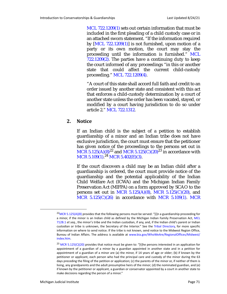MCL 722.1209(1) sets out certain information that must be included in the first pleading of a child custody case or in an attached sworn statement. "If the information required by [MCL 722.1209(1)] is not furnished, upon motion of a party or its own motion, the court may stay the proceeding until the information is furnished." MCL  $722.1209(2)$ . The parties have a continuing duty to keep the court informed of any proceedings "in this or another state that could affect the current child-custody proceeding." MCL 722.1209(4).

"A court of this state shall accord full faith and credit to an order issued by another state and consistent with this act that enforces a child-custody determination by a court of another state unless the order has been vacated, stayed, or modified by a court having jurisdiction to do so under article 2." MCL 722.1312.

### **2. Notice**

If an Indian child is the subject of a petition to establish guardianship of a minor and an Indian tribe does not have exclusive jurisdiction, the court must ensure that the petitioner has given notice of the proceedings to the persons set out in  $\rm{MCR}$  5.125(A)(8)<sup>22</sup> and  $\rm{MCR}$  5.125(C)(20)<sup>23</sup> in accordance with MCR 5.109(1).<sup>24</sup> MCR 5.402(E)(3).

If the court discovers a child may be an Indian child after a guardianship is ordered, the court must provide notice of the guardianship and the potential applicability of the Indian Child Welfare Act (ICWA) and the Michigan Indian Family Preservation Act (MIFPA) on a form approved by SCAO to the persons set out in MCR  $5.125(A)(8)$ , MCR  $5.125(C)(20)$ , and MCR  $5.125(C)(26)$  in accordance with MCR  $5.109(1)$ . MCR

 $22$ MCR 5.125(A)(8) provides that the following persons must be served: "[i]n a guardianship proceeding for a minor, if the minor is an Indian child as defined by the Michigan Indian Family Preservation Act, MCL 712B.1 *et seq*., the minor's tribe and the Indian custodian, if any, and, if the Indian child's parent or Indian custodian or tribe is unknown, the Secretary of the Interior." See the Tribal Directory, for more specific information on where to send notice. If the tribe is not known, send notice to the Midwest Region Office, Bureau of Indian Affairs. The address is available at www.bia.gov/WhoWeAre/RegionalOffices/Midwest/ index.htm.

 $23$  MCR 5.125(C)(20) provides that notice must be given to: "[t]he persons interested in an application for appointment of a guardian of a minor by a guardian appointed in another state and in a petition for appointment of a guardian of a minor are (a) the minor, if 14 years of age or older; (b) if known by the petitioner or applicant, each person who had the principal care and custody of the minor during the 63 days preceding the filing of the petition or application; (c) the parents of the minor or, if neither of them is living, any grandparents and the adult presumptive heirs of the minor; (d) the nominated guardian, and (e) if known by the petitioner or applicant, a guardian or conservator appointed by a court in another state to make decisions regarding the person of a minor."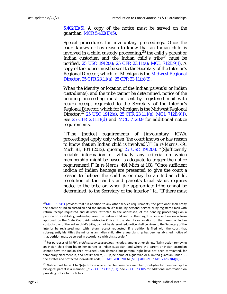$5.402(E)(5)$ . A copy of the notice must be served on the guardian. MCR 5.402(E)(5).

Special procedures for involuntary proceedings. Once the court knows or has reason to know that an Indian child is involved in a child custody proceeding,  $25$  the child's parent or Indian custodian and the Indian child's tribe<sup>26</sup> must be notified. 25 USC 1912(a); 25 CFR 23.11(a); MCL 712B.9(1). A copy of the notice must be sent to the Secretary of the Interior's Regional Director, which for Michigan is the Midwest Regional Director. 25 CFR 23.11(a); 25 CFR 23.11(b)(2).

When the identity or location of the Indian parent(s) or Indian custodian(s), and the tribe cannot be determined, notice of the pending proceeding must be sent by registered mail with return receipt requested to the Secretary of the Interior's Regional Director, which for Michigan is the Midwest Regional Director.<sup>27</sup> 25 USC 1912(a); 25 CFR 23.111(e); MCL 712B.9(1). See 25 CFR 23.111(d) and MCL 712B.9 for additional notice requirements.

"[T]he [notice] requirements of [involuntary ICWA proceedings] apply only when 'the court knows or has reason to know that an Indian child is involved[.]'" *In re Morris*, 491 Mich 81, 104 (2012), quoting 25 USC 1912(a). "[S]ufficiently reliable information of virtually any criteria on which membership might be based is adequate to trigger the notice requirement[.]" *In re Morris*, 491 Mich at 108. "Once sufficient indicia of Indian heritage are presented to give the court a reason to believe the child is or may be an Indian child, resolution of the child's and parent's tribal status requires notice to the tribe or, when the appropriate tribe cannot be determined, to the Secretary of the Interior." *Id*. "If there must

 $24$ MCR 5.109(1) provides that "in addition to any other service requirements, the petitioner shall notify the parent or Indian custodian and the Indian child's tribe, by personal service or by registered mail with return receipt requested and delivery restricted to the addressee, of the pending proceedings on a petition to establish guardianship over the Indian child and of their right of intervention on a form approved by the State Court Administrative Office. If the identity or location of the parent or Indian custodian, or of the Indian child's tribe, cannot be determined, notice shall be given to the Secretary of the Interior by registered mail with return receipt requested. If a petition is filed with the court that subsequently identifies the minor as an Indian child after a guardianship has been established, notice of that petition must be served in accordance with this subrule."

<sup>25</sup> For purposes of MIFPA, *child custody proceedings* includes, among other things, "[a]ny action removing an Indian child from his or her parent or Indian custodian, and where the parent or Indian custodian cannot have the Indian child returned upon demand but parental right have not been terminated, for temporary placement in, and not limited to, . . . [t]he home of a guardian or a limited guardian under . . . the estates and protected individuals code, . . . MCL 700.5201 to [MCL] 700.5219." MCL 712B.3(b)(*i*)(B).

<sup>&</sup>lt;sup>26</sup> Notice must be sent to "[e]ach Tribe where the child may be a member (or eligible for membership if a biological parent is a member)[.]" 25 CFR 23.111(b)(1). See 25 CFR 23.105 for additional information on providing notice to the Tribes.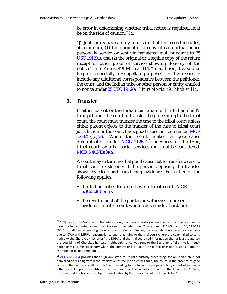be error in determining whether tribal notice is required, let it be on the side of caution." *Id*.

"[T]rial courts have a duty to ensure that the record includes, at minimum, (1) the original or a copy of each actual notice personally served or sent via registered mail pursuant to 25 USC 1912(a), and (2) the original or a legible copy of the return receipt or other proof of service showing delivery of the notice." *In re Morris*, 491 Mich at 114. "In addition, it would be helpful**—**especially for appellate purposes**—**for the record to include any additional correspondence between the petitioner, the court, and the Indian tribe or other person or entity entitled to notice under 25 USC 1912(a)." *In re Morris*, 491 Mich at 114.

#### **3. Transfer**

If either parent or the Indian custodian or the Indian child's tribe petitions the court to transfer the proceeding to the tribal court, the court must transfer the case to the tribal court unless either parent objects to the transfer of the case to tribal court jurisdiction or the court finds good cause not to transfer. MCR  $5.402(E)(3)(a)$ . When the court makes a good-cause determination under MCL 712B.7,<sup>28</sup> adequacy of the tribe, tribal court, or tribal social services must not be considered. MCR 5.402(E)(3)(a).

A court may determine that good cause not to transfer a case to tribal court exists only if the person opposing the transfer shows by clear and convincing evidence that either of the following applies:

- the Indian tribe does not have a tribal court. MCR 5.402(E)(3)(a)(*i*).
- the requirement of the parties or witnesses to present evidence in tribal court would cause undue hardship

<sup>&</sup>lt;sup>27</sup> "[N]otice [to the Secretary of the Interior] only becomes obligatory when 'the identity or location of the parent or Indian custodian and the tribe cannot be determined.'" *In re Jones*, 316 Mich App 110, 117-118 (2016) (conditionally reversing the trial court's order terminating the respondent-mother's parental rights due to ICWA and MIFPA noncompliance and remanding to the trial court where the court failed to send notice to the Cherokee tribe after "the DHHS and the trial court had information that at least suggested the possibility of Cherokee heritage[;] although notice was sent to the Secretary of the Interior, "such notice only becomes obligatory when 'the identity or location of the parent or Indian custodian and the tribe cannot be determined[]'").

 $28$ MCL 712B.7(3) provides that "[i]n any state court child custody proceeding, for an Indian child not domiciled or residing within the reservation of the Indian child's tribe, the court, in the absence of good cause to the contrary, shall transfer the proceeding to the Indian tribe's jurisdiction, absent objection by either parent, upon the petition of either parent or the Indian custodian or the Indian child's tribe, provided that the transfer is subject to declination by the tribal court of the Indian tribe."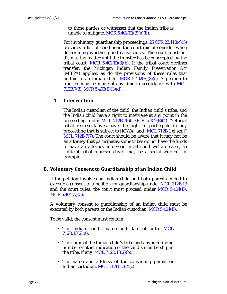to those parties or witnesses that the Indian tribe is unable to mitigate. MCR 5.402(E)(3)(a)(*ii*).

For involuntary guardianship proceedings, 25 CFR 23.118(c)(5) provides a list of conditions the court *cannot* consider when determining whether good cause exists. The court must not dismiss the matter until the transfer has been accepted by the tribal court. MCR  $5.402(E)(3)(b)$ . If the tribal court declines transfer, the Michigan Indian Family Preservation Act (MIFPA) applies, as do the provisions of these rules that pertain to an Indian child. MCR  $5.402(E)(3)(c)$ . A petition to transfer may be made at any time in accordance with MCL 712B.7(3). MCR 5.402(E)(3)(d).

#### **4. Intervention**

The Indian custodian of the child, the Indian child's tribe, and the Indian child have a right to intervene at any point in the proceeding under MCL 712B.7(6). MCR 5.402(E)(4). "Official tribal representatives have the right to participate in any proceeding that is subject to [ICWA] and [MCL 712B.1 *et seq*.]" MCL 712B.7(7). The court should be aware that it may not be an attorney that participates; some tribes do not have the funds to have an attorney intervene in all child welfare cases, so "official tribal representative" may be a social worker, for example.

#### **B. Voluntary Consent to Guardianship of an Indian Child**

If the petition involves an Indian child and both parents intend to execute a consent to a petition for guardianship under MCL 712B.13 and the court rules, the court must proceed under MCR 5.404(B). MCR 5.404(A)(3).

A voluntary consent to guardianship of an Indian child must be executed by both parents or the Indian custodian. MCR 5.404(B).

To be valid, the consent must contain:

- The Indian child's name and date of birth. MCL 712B.13(2)(a).
- The name of the Indian child's tribe and any identifying number or other indication of the child's membership in the tribe, if any. MCL 712B.13(2)(b).
- The name and address of the consenting parent or Indian custodian. MCL 712B.13(2)(c).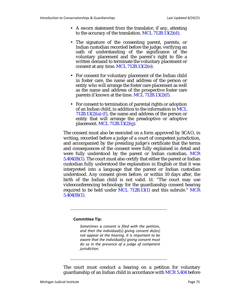- A sworn statement from the translator, if any, attesting to the accuracy of the translation. MCL 712B.13(2)(d).
- The signature of the consenting parent, parents, or Indian custodian recorded before the judge, verifying an oath of understanding of the significance of the voluntary placement and the parent's right to file a written demand to terminate the voluntary placement or consent at any time. MCL 712B.13(2)(e).
- For consent for voluntary placement of the Indian child in foster care, the name and address of the person or entity who will arrange the foster care placement as well as the name and address of the prospective foster care parents if known at the time. MCL 712B.13(2)(f).
- For consent to termination of parental rights or adoption of an Indian child, in addition to the information in MCL  $712B.13(2)(a)$ -(f), the name and address of the person or entity that will arrange the preadoptive or adoptive placement. MCL 712B.13(2)(g).

The consent must also be executed on a form approved by SCAO, in writing, recorded before a judge of a court of competent jurisdiction, and accompanied by the presiding judge's certificate that the terms and consequences of the consent were fully explained in detail and were fully understood by the parent or Indian custodian. MCR  $5.404(B)(1)$ . The court must also certify that either the parent or Indian custodian fully understood the explanation in English or that it was interpreted into a language that the parent or Indian custodian understood. Any consent given before, or within 10 days after, the birth of the Indian child is not valid. *Id.* "The court may use videoconferencing technology for the guardianship consent hearing required to be held under MCL 712B.13(1) and this subrule." MCR 5.404(B)(1)*.*

#### **Committee Tip:**

*Sometimes a consent is filed with the petition, and then the individual(s) giving consent do(es) not appear at the hearing. It is important to be aware that the individual(s) giving consent must do so in the presence of a judge of competent jurisdiction.*

The court must conduct a hearing on a petition for voluntary guardianship of an Indian child in accordance with MCR 5.404 before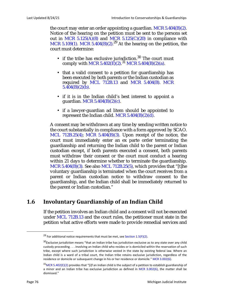the court may enter an order appointing a guardian. MCR  $5.404(B)(2)$ . Notice of the hearing on the petition must be sent to the persons set out in MCR  $5.125(A)(8)$  and MCR  $5.125(C)(20)$  in compliance with MCR 5.109(1). MCR 5.404(B)(2).<sup>29</sup> At the hearing on the petition, the court must determine:

- if the tribe has exclusive jurisdiction. $30$  The court must comply with MCR 5.402(E)(2).<sup>31</sup> MCR 5.404(B)(2)(a).
- that a valid consent to a petition for guardianship has been executed by both parents or the Indian custodian as required by MCL 712B.13 and MCR 5.404(B). MCR  $5.404(B)(2)(b)$ .
- if it is in the Indian child's best interest to appoint a guardian. MCR 5.404(B)(2)(c).
- if a lawyer-guardian ad litem should be appointed to represent the Indian child. MCR  $5.404(B)(2)(d)$ .

A consent may be withdrawn at any time by sending written notice to the court substantially in compliance with a form approved by SCAO. MCL 712B.25(4); MCR 5.404(B)(3). Upon receipt of the notice, the court must immediately enter an ex parte order terminating the guardianship and returning the Indian child to the parent or Indian custodian except, if both parents executed a consent, both parents must withdraw their consent or the court must conduct a hearing within 21 days to determine whether to terminate the guardianship. MCR 5.404(B)(3)*.* See also MCL 712B.25(5), which provides that "[t]he voluntary guardianship is terminated when the court receives from a parent or Indian custodian notice to withdraw consent to the guardianship, and the Indian child shall be immediately returned to the parent or Indian custodian."

# **1.6 Involuntary Guardianship of an Indian Child**

If the petition involves an Indian child and a consent will not be executed under MCL 712B.13 and the court rules, the petitioner must state in the petition what active efforts were made to provide remedial services and

<sup>&</sup>lt;sup>29</sup> For additional notice requirements that must be met, see [Section 1.5\(F\)\(2\)](#page-70-0).

<sup>30</sup>*Exclusive jurisdiction* means "that an Indian tribe has jurisdiction exclusive as to any state over any child custody proceeding . . . involving an Indian child who resides or is domiciled within the reservation of such tribe, except where such jurisdiction is otherwise vested in the state by existing federal law. Where an Indian child is a ward of a tribal court, the Indian tribe retains exclusive jurisdiction, regardless of the residence or domicile or subsequent change in his or her residence or domicile." MCR 3.002(6).

 $31$ MCR 5.402(E)(2) provides that "[i]f an Indian child is the subject of a petition to establish guardianship of a minor and an Indian tribe has exclusive jurisdiction as defined in MCR 3.002(6), the matter shall be dismissed."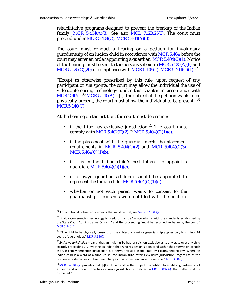rehabilitative programs designed to prevent the breakup of the Indian family. MCR  $5.404(A)(3)$ . See also MCL 712B.25(3). The court must proceed under MCR 5.404(C). MCR 5.404(A)(3).

The court must conduct a hearing on a petition for involuntary guardianship of an Indian child in accordance with MCR 5.404 before the court may enter an order appointing a guardian.  $MCR~5.404(C)(1)$ . Notice of the hearing must be sent to the persons set out in MCR  $5.125(A)(8)$  and MCR 5.125(C)(20) in compliance with MCR 5.109(1). MCR 5.404(C)(1).<sup>32</sup>

"Except as otherwise prescribed by this rule, upon request of any participant or sua sponte, the court may allow the individual the use of videoconferencing technology under this chapter in accordance with MCR 2.407."<sup>33</sup> MCR 5.140(A). "[I]f the subject of the petition wants to be physically present, the court must allow the individual to be present."<sup>34</sup> MCR 5.140(C).

At the hearing on the petition, the court must determine:

- if the tribe has exclusive jurisdiction.<sup>35</sup> The court must comply with MCR 5.402(E)(2).<sup>36</sup> MCR 5.404(C)(1)(a).
- if the placement with the guardian meets the placement requirements in MCR  $5.404(C)(2)$  and MCR  $5.404(C)(3)$ . MCR  $5.404(C)(1)(b)$ .
- if it is in the Indian child's best interest to appoint a guardian. MCR  $5.404(C)(1)(c)$ .
- if a lawyer-guardian ad litem should be appointed to represent the Indian child. MCR  $5.404(C)(1)(d)$ .
- whether or not each parent wants to consent to the guardianship if consents were not filed with the petition.

 $32$  For additional notice requirements that must be met, see [Section 1.5\(F\)\(2\)](#page-70-0).

<sup>&</sup>lt;sup>33</sup> If videoconferencing technology is used, it must be "in accordance with the standards established by the State Court Administrative Office[,]" and the proceeding "must be recorded verbatim by the court." MCR 5.140(D).

<sup>&</sup>lt;sup>34</sup> "The right to be physically present for the subject of a minor guardianship applies only to a minor 14 years of age or older." MCR 5.140(C).

<sup>35</sup>*Exclusive jurisdiction* means "that an Indian tribe has jurisdiction exclusive as to any state over any child custody proceeding . . . involving an Indian child who resides or is domiciled within the reservation of such tribe, except where such jurisdiction is otherwise vested in the state by existing federal law. Where an Indian child is a ward of a tribal court, the Indian tribe retains exclusive jurisdiction, regardless of the residence or domicile or subsequent change in his or her residence or domicile." MCR 3.002(6).

 $36$ MCR 5.402(E)(2) provides that "[i]f an Indian child is the subject of a petition to establish guardianship of a minor and an Indian tribe has exclusive jurisdiction as defined in MCR 3.002(6), the matter shall be dismissed."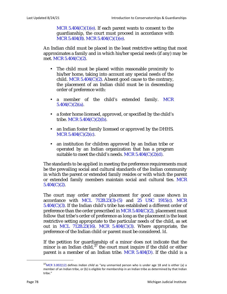MCR  $5.404(C)(1)(e)$ . If each parent wants to consent to the guardianship, the court must proceed in accordance with MCR 5.404(B). MCR 5.404(C)(1)(e).

An Indian child must be placed in the least restrictive setting that most approximates a family and in which his/her special needs (if any) may be met. MCR 5.404(C)(2).

- The child must be placed within reasonable proximity to his/her home, taking into account any special needs of the child. MCR  $5.404(C)(2)$ . Absent good cause to the contrary, the placement of an Indian child must be in descending order of preference with:
- a member of the child's extended family. MCR  $5.404(C)(2)(a)$ .
- a foster home licensed, approved, or specified by the child's tribe. MCR  $5.404(C)(2)(b)$ .
- an Indian foster family licensed or approved by the DHHS. MCR  $5.404(C)(2)(c)$ .
- an institution for children approved by an Indian tribe or operated by an Indian organization that has a program suitable to meet the child's needs. MCR  $5.404(C)(2)(d)$ .

The standards to be applied in meeting the preference requirements must be the prevailing social and cultural standards of the Indian community in which the parent or extended family resides or with which the parent or extended family members maintain social and cultural ties. MCR  $5.404(C)(2)$ .

The court may order another placement for good cause shown in accordance with MCL 712B.23(3)-(5) and 25 USC 1915(c). MCR  $5.404(C)(3)$ . If the Indian child's tribe has established a different order of preference than the order prescribed in MCR  $5.404(C)(2)$ , placement must follow that tribe's order of preference as long as the placement is the least restrictive setting appropriate to the particular needs of the child, as set out in MCL 712B.23(16). MCR 5.404(C)(3). Where appropriate, the preference of the Indian child or parent must be considered. *Id*.

If the petition for guardianship of a minor does not indicate that the minor is an Indian child,  $37$  the court must inquire if the child or either parent is a member of an Indian tribe. MCR 5.404(D). If the child is a

<sup>37</sup>MCR 3.002(12) defines *Indian child* as "any unmarried person who is under age 18 and is either (a) a member of an Indian tribe, or (b) is eligible for membership in an Indian tribe as determined by that Indian tribe."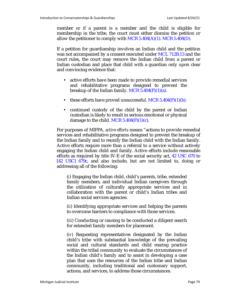member or if a parent is a member and the child is eligible for membership in the tribe, the court must either dismiss the petition or allow the petitioner to comply with MCR  $5.404(A)(1)$ . MCR  $5.404(D)$ .

If a petition for guardianship involves an Indian child and the petition was not accompanied by a consent executed under MCL 712B.13 and the court rules, the court may remove the Indian child from a parent or Indian custodian and place that child with a guardian only upon clear and convincing evidence that:

- active efforts have been made to provide remedial services and rehabilitative programs designed to prevent the breakup of the Indian family. MCR  $5.404(F)(1)(a)$ .
- these efforts have proved unsuccessful. MCR  $5.404(F)(1)(b)$ .
- continued custody of the child by the parent or Indian custodian is likely to result in serious emotional or physical damage to the child. MCR  $5.404(F)(1)(c)$ .

For purposes of MIFPA, *active efforts* means "actions to provide remedial services and rehabilitative programs designed to prevent the breakup of the Indian family and to reunify the Indian child with the Indian family. Active efforts require more than a referral to a service without actively engaging the Indian child and family. Active efforts include reasonable efforts as required by title IV-E of the social security act, 42 USC 670 to [42 USC] 679c, and also include, but are not limited to, doing or addressing all of the following:

(*i*) Engaging the Indian child, child's parents, tribe, extended family members, and individual Indian caregivers through the utilization of culturally appropriate services and in collaboration with the parent or child's Indian tribes and Indian social services agencies.

(*ii*) Identifying appropriate services and helping the parents to overcome barriers to compliance with those services.

(*iii*) Conducting or causing to be conducted a diligent search for extended family members for placement.

(*iv*) Requesting representatives designated by the Indian child's tribe with substantial knowledge of the prevailing social and cultural standards and child rearing practice within the tribal community to evaluate the circumstances of the Indian child's family and to assist in developing a case plan that uses the resources of the Indian tribe and Indian community, including traditional and customary support, actions, and services, to address those circumstances.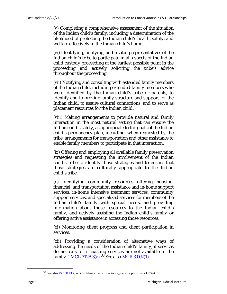(*v*) Completing a comprehensive assessment of the situation of the Indian child's family, including a determination of the likelihood of protecting the Indian child's health, safety, and welfare effectively in the Indian child's home.

(*vi*) Identifying, notifying, and inviting representatives of the Indian child's tribe to participate in all aspects of the Indian child custody proceeding at the earliest possible point in the proceeding and actively soliciting the tribe's advice throughout the proceeding.

(*vii*) Notifying and consulting with extended family members of the Indian child, including extended family members who were identified by the Indian child's tribe or parents, to identify and to provide family structure and support for the Indian child, to assure cultural connections, and to serve as placement resources for the Indian child.

(*viii*) Making arrangements to provide natural and family interaction in the most natural setting that can ensure the Indian child's safety, as appropriate to the goals of the Indian child's permanency plan, including, when requested by the tribe, arrangements for transportation and other assistance to enable family members to participate in that interaction.

(*ix*) Offering and employing all available family preservation strategies and requesting the involvement of the Indian child's tribe to identify those strategies and to ensure that those strategies are culturally appropriate to the Indian child's tribe.

(*x*) Identifying community resources offering housing, financial, and transportation assistance and in-home support services, in-home intensive treatment services, community support services, and specialized services for members of the Indian child's family with special needs, and providing information about those resources to the Indian child's family, and actively assisting the Indian child's family or offering active assistance in accessing those resources.

(*xi*) Monitoring client progress and client participation in services.

(*xii*) Providing a consideration of alternative ways of addressing the needs of the Indian child's family, if services do not exist or if existing services are not available to the family." MCL 712B.3(a).<sup>38</sup> See also MCR 3.002(1).

<sup>38</sup> See also 25 CFR 23.2, which defines the term *active efforts* for purposes of ICWA.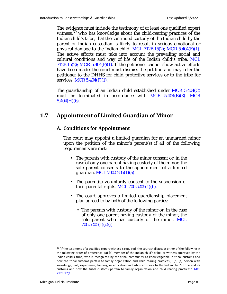The evidence must include the testimony of at least one qualified expert witness.<sup>39</sup> who has knowledge about the child-rearing practices of the Indian child's tribe, that the continued custody of the Indian child by the parent or Indian custodian is likely to result in serious emotional or physical damage to the Indian child. MCL 712B.15(2); MCR 5.404(F)(1). The active efforts must take into account the prevailing social and cultural conditions and way of life of the Indian child's tribe. MCL 712B.15(2); MCR 5.404 $(F)(1)$ *.* If the petitioner cannot show active efforts have been made, the court must dismiss the petition and may refer the petitioner to the DHHS for child protective services or to the tribe for services. MCR 5.404(F)(1)*.*

The guardianship of an Indian child established under  $MCR$  5.404 $(C)$ must be terminated in accordance with MCR 5.404(B)(3). MCR  $5.404(H)(6)$ .

# **1.7 Appointment of Limited Guardian of Minor**

# **A. Conditions for Appointment**

The court may appoint a limited guardian for an unmarried minor upon the petition of the minor's parent(s) if all of the following requirements are met:

- The parents with custody of the minor consent or, in the case of only one parent having custody of the minor, the sole parent consents to the appointment of a limited guardian. MCL 700.5205(1)(a).
- The parent(s) voluntarily consent to the suspension of their parental rights. MCL  $700.5205(1)(b)$ .
- The court approves a limited guardianship placement plan agreed to by both of the following parties:
	- The parents with custody of the minor or, in the case of only one parent having custody of the minor, the sole parent who has custody of the minor. MCL 700.5205(1)(c)(*i*).

<sup>&</sup>lt;sup>39</sup>"If the testimony of a qualified expert witness is required, the court shall accept either of the following in the following order of preference: (a) [a] member of the Indian child's tribe, or witness approved by the Indian child's tribe, who is recognized by the tribal community as knowledgeable in tribal customs and how the tribal customs pertain to family organization and child rearing practices[;] (b) [a] person with knowledge, skill, experience, training, or education and who can speak to the Indian child's tribe and its customs and how the tribal customs pertain to family organization and child rearing practices." MCL 712B.17(1).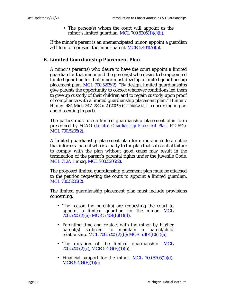• The person(s) whom the court will appoint as the minor's limited guardian. MCL 700.5205(1)(c)(*ii*).

If the minor's parent is an unemancipated minor, appoint a guardian ad litem to represent the minor parent. MCR  $5.404(A)(5)$ .

# **B. Limited Guardianship Placement Plan**

A minor's parent(s) who desire to have the court appoint a limited guardian for that minor and the person(s) who desire to be appointed limited guardian for that minor must develop a limited guardianship placement plan. MCL 700.5205(2). "By design, limited guardianships give parents the opportunity to correct whatever conditions led them to give up custody of their children and to regain custody upon proof of compliance with a limited guardianship placement plan." *Hunter v Hunter*, 484 Mich 247, 282 n 2 (2009) (CORRIGAN, J., concurring in part and dissenting in part).

The parties must use a limited guardianship placement plan form prescribed by SCAO (*Limited Guardianship Placement Plan*, PC 652). MCL 700.5205(2).

A limited guardianship placement plan form must include a notice that informs a parent who is a party to the plan that substantial failure to comply with the plan without good cause may result in the termination of the parent's parental rights under the Juvenile Code, MCL 712A.1 *et seq*. MCL 700.5205(2).

The proposed limited guardianship placement plan must be attached to the petition requesting the court to appoint a limited guardian. MCL 700.5205(2).

The limited guardianship placement plan must include provisions concerning:

- The reason the parent(s) are requesting the court to appoint a limited guardian for the minor. MCL 700.5205(2)(a); MCR 5.404(E)(1)(d).
- Parenting time and contact with the minor by his/her parent(s) sufficient to maintain a parent/child relationship. MCL 700.5205(2)(b); MCR 5.404(E)(1)(a).
- The duration of the limited guardianship. MCL 700.5205(2)(c); MCR 5.404(E)(1)(b).
- Financial support for the minor. MCL  $700.5205(2)(d)$ ; MCR  $5.404(E)(1)(c)$ .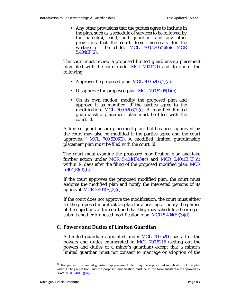• Any other provisions that the parties agree to include in the plan, such as a schedule of services to be followed by the parent(s), child, and guardian, and any other provisions that the court deems necessary for the welfare of the child. MCL 700.5205(2)(e); MCR  $5.404(E)(2)$ .

The court must review a proposed limited guardianship placement plan filed with the court under MCL 700.5205 and do one of the following:

- Approve the proposed plan. MCL  $700.5206(1)(a)$ .
- Disapprove the proposed plan. MCL  $700.5206(1)(b)$ .
- On its own motion, modify the proposed plan and approve it as modified, if the parties agree to the modification. MCL 700.5206(1)(c). A modified limited guardianship placement plan must be filed with the court. *Id*.

A limited guardianship placement plan that has been approved by the court may also be modified if the parties agree and the court approves.<sup>40</sup> MCL 700.5206(2). A modified limited guardianship placement plan must be filed with the court. *Id*.

The court must examine the proposed modification plan and take further action under MCR  $5.404(E)(3)(c)$  and MCR  $5.404(E)(3)(d)$ within 14 days after the filing of the proposed modified plan. MCR  $5.404(E)(3)(b)$ .

If the court approves the proposed modified plan, the court must endorse the modified plan and notify the interested persons of its approval. MCR  $5.404(E)(3)(c)$ .

If the court does not approve the modification, the court must either set the proposed modification plan for a hearing or notify the parties of the objections of the court and that they may schedule a hearing or submit another proposed modification plan. MCR  $5.404(E)(3)(d)$ .

#### **C. Powers and Duties of Limited Guardian**

A limited guardian appointed under MCL 700.5206 has all of the powers and duties enumerated in MCL 700.5215 (setting out the powers and duties of a minor's guardian) except that a minor's limited guardian must not consent to marriage or adoption of the

 $40$  The parties to a limited guardianship placement plan may file a proposed modification of the plan without filing a petition, and the proposed modification must be in the form substantially approved by SCAO. MCR 5.404(E)(3)(a).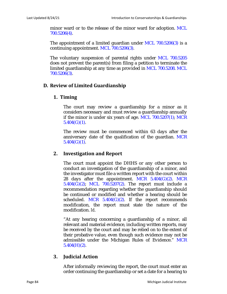minor ward or to the release of the minor ward for adoption. MCL 700.5206(4).

The appointment of a limited guardian under MCL 700.5206(3) is a continuing appointment. MCL 700.5206(3).

The voluntary suspension of parental rights under MCL 700.5205 does not prevent the parent(s) from filing a petition to terminate the limited guardianship at any time as provided in MCL 700.5208. MCL 700.5206(3).

#### **D. Review of Limited Guardianship**

### **1. Timing**

The court may review a guardianship for a minor as it considers necessary and must review a guardianship annually if the minor is under six years of age. MCL 700.5207(1); MCR  $5.404(G)(1)$ .

The review must be commenced within 63 days after the anniversary date of the qualification of the guardian. MCR  $5.404(G)(1)$ .

# **2. Investigation and Report**

The court must appoint the DHHS or any other person to conduct an investigation of the guardianship of a minor, and the investigator must file a written report with the court within 28 days after the appointment. MCR  $5.404(G)(2)$ . MCR 5.404(G)(2); MCL 700.5207(2). The report must include a recommendation regarding whether the guardianship should be continued or modified and whether a hearing should be scheduled. MCR  $5.404(G)(2)$ . If the report recommends modification, the report must state the nature of the modification. *Id*.

"At any hearing concerning a guardianship of a minor, all relevant and material evidence, including written reports, may be received by the court and may be relied on to the extent of their probative value, even though such evidence may not be admissible under the Michigan Rules of Evidence." MCR  $5.404(H)(2)$ .

# **3. Judicial Action**

After informally reviewing the report, the court must enter an order continuing the guardianship or set a date for a hearing to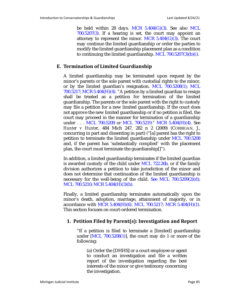be held within 28 days. MCR 5.404(G)(3). See also MCL 700.5207(3). If a hearing is set, the court may appoint an attorney to represent the minor. MCR  $5.404(G)(3)$ . The court may continue the limited guardianship or order the parties to modify the limited guardianship placement plan as a condition to continuing the limited guardianship. MCL 700.5207(3)(b)(*i*).

#### **E. Termination of Limited Guardianship**

A limited guardianship may be terminated upon request by the minor's parents or the sole parent with custodial rights to the minor, or by the limited guardian's resignation. MCL 700.5208(1); MCL 700.5217; MCR 5.404(H)(4). "A petition by a limited guardian to resign shall be treated as a petition for termination of the limited guardianship. The parents or the sole parent with the right to custody may file a petition for a new limited guardianship. If the court does not approve the new limited guardianship or if no petition is filed, the court may proceed in the manner for termination of a guardianship under . . . MCL 700.5209 or MCL 700.5219." MCR 5.404(H)(4). See *Hunter v Hunter*, 484 Mich 247, 282 n 2 (2009) (CORRIGAN, J., concurring in part and dissenting in part) ("[a] parent has the right to petition to terminate the limited guardianship under MCL 700.5208 and, if the parent has 'substantially complied' with the placement plan, the court must terminate the guardianship[]").

In addition, a limited guardianship terminates if the limited guardian is awarded custody of the child under MCL 722.26b, or if the family division authorizes a petition to take jurisdiction of the minor and does not determine that continuation of the limited guardianship is necessary for the well-being of the child. See MCL  $700.5209(2)(d)$ ; MCL 700.5210; MCR 5.404(H)(3)(b).

Finally, a limited guardianship terminates automatically upon the minor's death, adoption, marriage, attainment of majority, or in accordance with MCR 5.404(H)(6). MCL 700.5217; MCR 5.404(H)(1). This section focuses on court-ordered termination.

# **1. Petition Filed by Parent(s): Investigation and Report**

"If a petition is filed to terminate a [limited] guardianship under  $[ML 700.5208(1)]$ , the court may do 1 or more of the following:

(a) Order the [DHHS] or a court employee or agent to conduct an investigation and file a written report of the investigation regarding the best interests of the minor or give testimony concerning the investigation.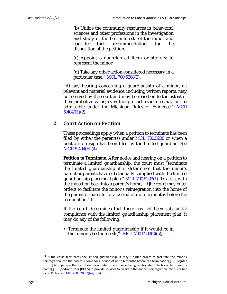(b) Utilize the community resources in behavioral sciences and other professions in the investigation and study of the best interests of the minor and consider their recommendations for the disposition of the petition.

(c) Appoint a guardian ad litem or attorney to represent the minor.

(d) Take any other action considered necessary in a particular case." MCL 700.5208(2).

"At any hearing concerning a guardianship of a minor, all relevant and material evidence, including written reports, may be received by the court and may be relied on to the extent of their probative value, even though such evidence may not be admissible under the Michigan Rules of Evidence." MCR  $5.404(H)(2)$ .

### **2. Court Action on Petition**

These proceedings apply when a petition to terminate has been filed by either the parent(s) under MCL  $700.5208$  or when a petition to resign has been filed by the limited guardian. See MCR 5.404(H)(4).

**Petition to Terminate.** After notice and hearing on a petition to terminate a limited guardianship, the court must "terminate the limited guardianship if it determines that the minor's parent or parents have substantially complied with the limited guardianship placement plan." MCL 700.5209(1). To assist with the transition back into a parent's home, "[t]he court may enter orders to facilitate the minor's reintegration into the home of the parent or parents for a period of up to 6 months before the termination." *Id.*

If the court determines that there has not been substantial compliance with the limited guardianship placement plan, it may do any of the following:

• Terminate the limited guardianship if it would be in the minor's best interests, $^{41}$  MCL 700.5209(2)(a);

 $41$  If the court terminates the limited guardianship, it may "[e]nter orders to facilitate the minor's reintegration into the parent's home for a period of up to 6 months before the termination[,] . . . [o]rder [DHHS] to supervise the transition period when the minor is being reintegrated into his or her parent's home[,] . . . [and/or o]rder [DHHS] to provide services to facilitate the minor's reintegration into his or her parent's home." MCL 700.5209(2)(a)(*i*)-(*iii*).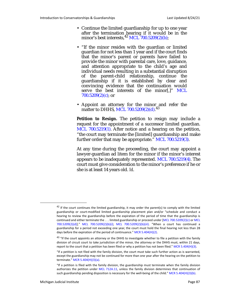- Continue the limited guardianship for up to one year after the termination hearing if it would be in the minor's best interests,<sup>42</sup> MCL 700.5209(2)(b);
- "If the minor resides with the guardian or limited guardian for not less than 1 year and if the court finds that the minor's parent or parents have failed to provide the minor with parental care, love, guidance, and attention appropriate to the child's age and individual needs resulting in a substantial disruption of the parent-child relationship, continue the guardianship if it is established by clear and convincing evidence that the continuation would serve the best interests of the minor[,]" MCL  $700.5209(2)(c)$ ; or
- Appoint an attorney for the minor and refer the matter to DHHS, MCL 700.5209(2)(d).<sup>43</sup>

**Petition to Resign.** The petition to resign may include a request for the appointment of a successor limited guardian. MCL 700.5219(1). After notice and a hearing on the petition, "the court may terminate the [limited] guardianship and make further order that may be appropriate." MCL 700.5219(3).

At any time during the proceeding, the court may appoint a lawyer-guardian ad litem for the minor if the minor's interest appears to be inadequately represented. MCL 700.5219(4). The court must give consideration to the minor's preference if he or she is at least 14 years old. *Id*.

 $42$  If the court continues the limited guardianship, it may order the parent(s) to comply with the limited guardianship or court-modified limited guardianship placement plan and/or "schedule and conduct a hearing to review the guardianship before the expiration of the period of time that the guardianship is continued and either terminate the . . . limited guardianship or proceed under [MCL 700.5209(2)(c) or MCL 700.5209(2)(d)]." MCL 700.5209(2)(b)(*i*); MCL 700.5209(2)(b)(*iii*). "When a court has continued a guardianship for a period not exceeding one year, the court must hold the final hearing not less than 28 days before the expiration of the period of continuance." MCR 5.404(H)(2).

 $43$  "If the court appoints an attorney or the DHHS to investigate whether to file a petition with the family division of circuit court to take jurisdiction of the minor, the attorney or the DHHS must, within 21 days, report to the court that a petition has been filed or why a petition has not been filed." MCR 5.404(H)(3).

<sup>&</sup>quot;If a petition is not filed with the family division, the court must take such further action as is warranted, except the guardianship may not be continued for more than one year after the hearing on the petition to terminate." MCR 5.404(H)(3)(a).

<sup>&</sup>quot;If a petition is filed with the family division, the guardianship must terminate when the family division authorizes the petition under MCL 712A.11, unless the family division determines that continuation of such guardianship pending disposition is necessary for the well-being of the child." MCR 5.404(H)(3)(b).